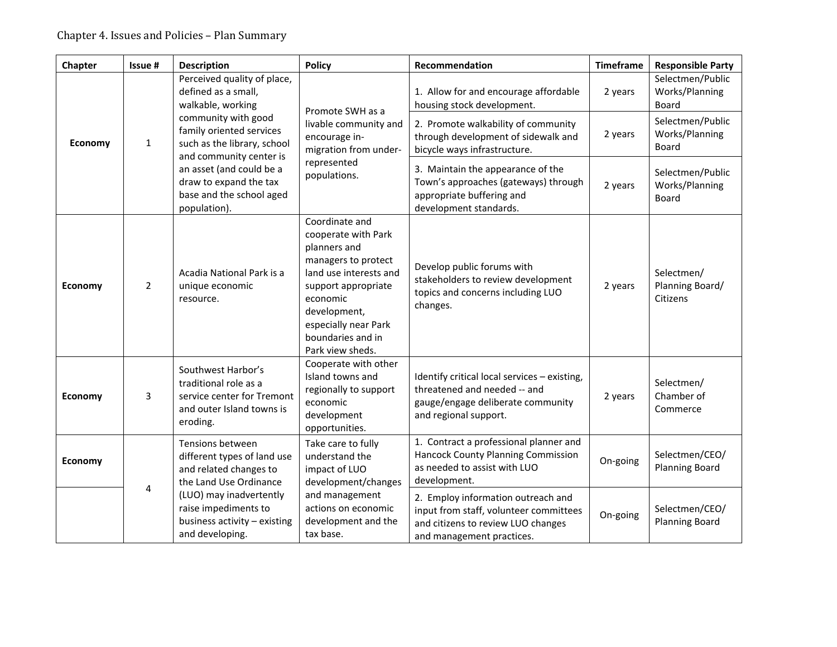| Chapter                        | Issue #                                                                 | <b>Description</b>                                                                                                 | <b>Policy</b>                                                                                                                                                                                                              | Recommendation                                                                                                                                  | <b>Timeframe</b>                                   | <b>Responsible Party</b>                    |
|--------------------------------|-------------------------------------------------------------------------|--------------------------------------------------------------------------------------------------------------------|----------------------------------------------------------------------------------------------------------------------------------------------------------------------------------------------------------------------------|-------------------------------------------------------------------------------------------------------------------------------------------------|----------------------------------------------------|---------------------------------------------|
|                                | Perceived quality of place,<br>defined as a small,<br>walkable, working | Promote SWH as a                                                                                                   | 1. Allow for and encourage affordable<br>housing stock development.                                                                                                                                                        | 2 years                                                                                                                                         | Selectmen/Public<br>Works/Planning<br><b>Board</b> |                                             |
| $\mathbf{1}$<br><b>Economy</b> |                                                                         | community with good<br>family oriented services<br>such as the library, school<br>and community center is          | livable community and<br>encourage in-<br>migration from under-<br>represented<br>populations.                                                                                                                             | 2. Promote walkability of community<br>through development of sidewalk and<br>bicycle ways infrastructure.                                      | 2 years                                            | Selectmen/Public<br>Works/Planning<br>Board |
|                                |                                                                         | an asset (and could be a<br>draw to expand the tax<br>base and the school aged<br>population).                     |                                                                                                                                                                                                                            | 3. Maintain the appearance of the<br>Town's approaches (gateways) through<br>appropriate buffering and<br>development standards.                | 2 years                                            | Selectmen/Public<br>Works/Planning<br>Board |
| <b>Economy</b>                 | $\overline{2}$                                                          | Acadia National Park is a<br>unique economic<br>resource.                                                          | Coordinate and<br>cooperate with Park<br>planners and<br>managers to protect<br>land use interests and<br>support appropriate<br>economic<br>development,<br>especially near Park<br>boundaries and in<br>Park view sheds. | Develop public forums with<br>stakeholders to review development<br>topics and concerns including LUO<br>changes.                               | 2 years                                            | Selectmen/<br>Planning Board/<br>Citizens   |
| <b>Economy</b>                 | 3                                                                       | Southwest Harbor's<br>traditional role as a<br>service center for Tremont<br>and outer Island towns is<br>eroding. | Cooperate with other<br>Island towns and<br>regionally to support<br>economic<br>development<br>opportunities.                                                                                                             | Identify critical local services - existing,<br>threatened and needed -- and<br>gauge/engage deliberate community<br>and regional support.      | 2 years                                            | Selectmen/<br>Chamber of<br>Commerce        |
| <b>Economy</b>                 |                                                                         | Tensions between<br>different types of land use<br>and related changes to<br>the Land Use Ordinance                | Take care to fully<br>understand the<br>impact of LUO<br>development/changes                                                                                                                                               | 1. Contract a professional planner and<br>Hancock County Planning Commission<br>as needed to assist with LUO<br>development.                    | On-going                                           | Selectmen/CEO/<br><b>Planning Board</b>     |
|                                | 4                                                                       | (LUO) may inadvertently<br>raise impediments to<br>business activity - existing<br>and developing.                 | and management<br>actions on economic<br>development and the<br>tax base.                                                                                                                                                  | 2. Employ information outreach and<br>input from staff, volunteer committees<br>and citizens to review LUO changes<br>and management practices. | On-going                                           | Selectmen/CEO/<br><b>Planning Board</b>     |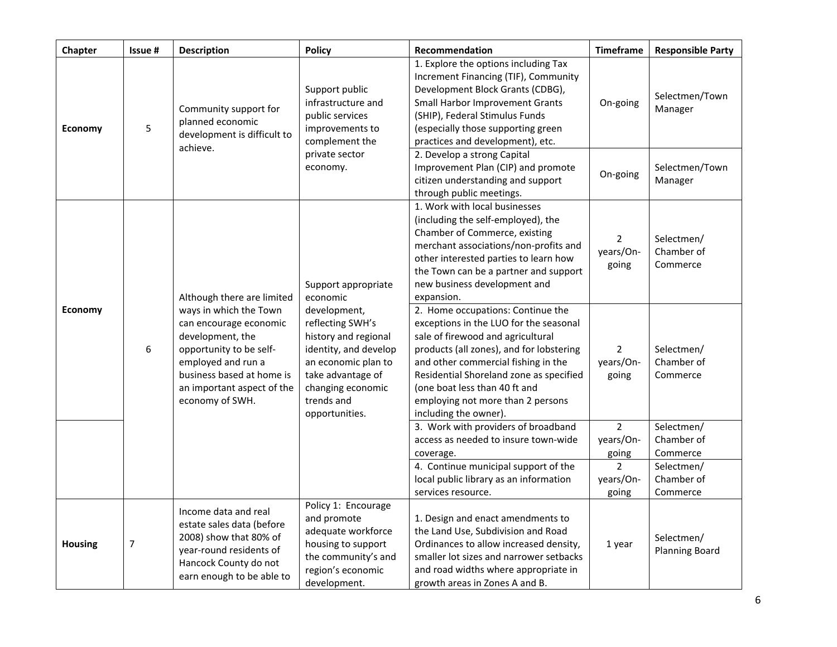| Chapter        | Issue #                                                                                   | <b>Description</b>                                                                                                                                                                                  | <b>Policy</b>                                                                                                                                                                                                                                                   | Recommendation                                                                                                                                                                                                                                                                                                                                | <b>Timeframe</b>                     | <b>Responsible Party</b>             |
|----------------|-------------------------------------------------------------------------------------------|-----------------------------------------------------------------------------------------------------------------------------------------------------------------------------------------------------|-----------------------------------------------------------------------------------------------------------------------------------------------------------------------------------------------------------------------------------------------------------------|-----------------------------------------------------------------------------------------------------------------------------------------------------------------------------------------------------------------------------------------------------------------------------------------------------------------------------------------------|--------------------------------------|--------------------------------------|
| Economy        | Community support for<br>planned economic<br>5<br>development is difficult to<br>achieve. | Support public<br>infrastructure and<br>public services<br>improvements to<br>complement the                                                                                                        | 1. Explore the options including Tax<br>Increment Financing (TIF), Community<br>Development Block Grants (CDBG),<br>Small Harbor Improvement Grants<br>(SHIP), Federal Stimulus Funds<br>(especially those supporting green<br>practices and development), etc. | On-going                                                                                                                                                                                                                                                                                                                                      | Selectmen/Town<br>Manager            |                                      |
|                |                                                                                           |                                                                                                                                                                                                     | private sector<br>economy.                                                                                                                                                                                                                                      | 2. Develop a strong Capital<br>Improvement Plan (CIP) and promote<br>citizen understanding and support<br>through public meetings.                                                                                                                                                                                                            | On-going                             | Selectmen/Town<br>Manager            |
|                |                                                                                           | Although there are limited                                                                                                                                                                          | Support appropriate<br>economic                                                                                                                                                                                                                                 | 1. Work with local businesses<br>(including the self-employed), the<br>Chamber of Commerce, existing<br>merchant associations/non-profits and<br>other interested parties to learn how<br>the Town can be a partner and support<br>new business development and<br>expansion.                                                                 | $\overline{2}$<br>years/On-<br>going | Selectmen/<br>Chamber of<br>Commerce |
| <b>Economy</b> | 6                                                                                         | ways in which the Town<br>can encourage economic<br>development, the<br>opportunity to be self-<br>employed and run a<br>business based at home is<br>an important aspect of the<br>economy of SWH. | development,<br>reflecting SWH's<br>history and regional<br>identity, and develop<br>an economic plan to<br>take advantage of<br>changing economic<br>trends and<br>opportunities.                                                                              | 2. Home occupations: Continue the<br>exceptions in the LUO for the seasonal<br>sale of firewood and agricultural<br>products (all zones), and for lobstering<br>and other commercial fishing in the<br>Residential Shoreland zone as specified<br>(one boat less than 40 ft and<br>employing not more than 2 persons<br>including the owner). | $\overline{2}$<br>years/On-<br>going | Selectmen/<br>Chamber of<br>Commerce |
|                |                                                                                           |                                                                                                                                                                                                     |                                                                                                                                                                                                                                                                 | 3. Work with providers of broadband<br>access as needed to insure town-wide<br>coverage.                                                                                                                                                                                                                                                      | $\overline{2}$<br>years/On-<br>going | Selectmen/<br>Chamber of<br>Commerce |
|                |                                                                                           |                                                                                                                                                                                                     |                                                                                                                                                                                                                                                                 | 4. Continue municipal support of the<br>local public library as an information<br>services resource.                                                                                                                                                                                                                                          | $\overline{2}$<br>years/On-<br>going | Selectmen/<br>Chamber of<br>Commerce |
| <b>Housing</b> | $\overline{7}$                                                                            | Income data and real<br>estate sales data (before<br>2008) show that 80% of<br>year-round residents of<br>Hancock County do not<br>earn enough to be able to                                        | Policy 1: Encourage<br>and promote<br>adequate workforce<br>housing to support<br>the community's and<br>region's economic<br>development.                                                                                                                      | 1. Design and enact amendments to<br>the Land Use, Subdivision and Road<br>Ordinances to allow increased density,<br>smaller lot sizes and narrower setbacks<br>and road widths where appropriate in<br>growth areas in Zones A and B.                                                                                                        | 1 year                               | Selectmen/<br><b>Planning Board</b>  |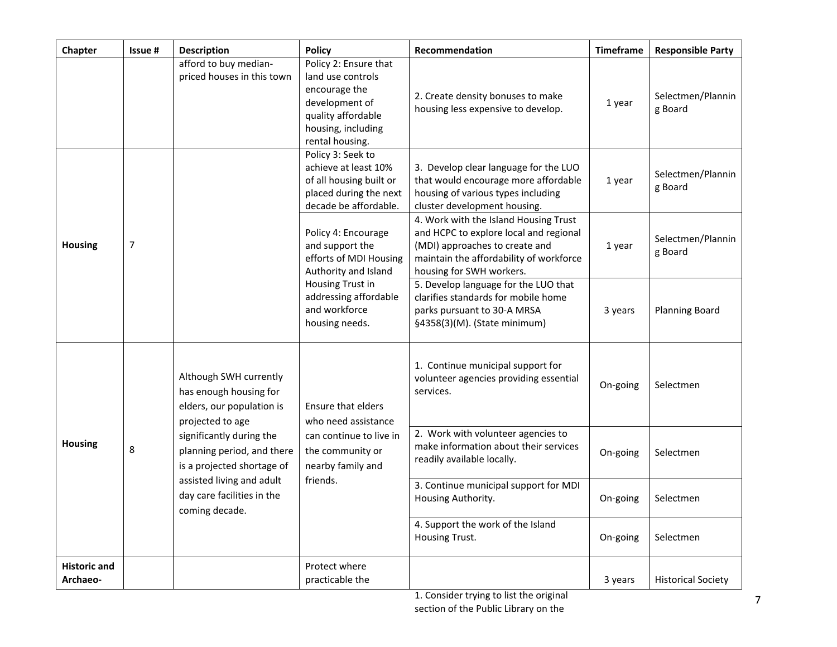| Chapter                         | Issue #                                                                                                                                                                                                                                                                                       | <b>Description</b>                                  | <b>Policy</b>                                                                                                                                | Recommendation                                                                                                                                                                           | <b>Timeframe</b> | <b>Responsible Party</b>     |
|---------------------------------|-----------------------------------------------------------------------------------------------------------------------------------------------------------------------------------------------------------------------------------------------------------------------------------------------|-----------------------------------------------------|----------------------------------------------------------------------------------------------------------------------------------------------|------------------------------------------------------------------------------------------------------------------------------------------------------------------------------------------|------------------|------------------------------|
|                                 |                                                                                                                                                                                                                                                                                               | afford to buy median-<br>priced houses in this town | Policy 2: Ensure that<br>land use controls<br>encourage the<br>development of<br>quality affordable<br>housing, including<br>rental housing. | 2. Create density bonuses to make<br>housing less expensive to develop.                                                                                                                  | 1 year           | Selectmen/Plannin<br>g Board |
|                                 |                                                                                                                                                                                                                                                                                               |                                                     | Policy 3: Seek to<br>achieve at least 10%<br>of all housing built or<br>placed during the next<br>decade be affordable.                      | 3. Develop clear language for the LUO<br>that would encourage more affordable<br>housing of various types including<br>cluster development housing.                                      | 1 year           | Selectmen/Plannin<br>g Board |
| Housing                         | $\overline{7}$                                                                                                                                                                                                                                                                                |                                                     | Policy 4: Encourage<br>and support the<br>efforts of MDI Housing<br>Authority and Island                                                     | 4. Work with the Island Housing Trust<br>and HCPC to explore local and regional<br>(MDI) approaches to create and<br>maintain the affordability of workforce<br>housing for SWH workers. | 1 year           | Selectmen/Plannin<br>g Board |
|                                 |                                                                                                                                                                                                                                                                                               |                                                     | Housing Trust in<br>addressing affordable<br>and workforce<br>housing needs.                                                                 | 5. Develop language for the LUO that<br>clarifies standards for mobile home<br>parks pursuant to 30-A MRSA<br>§4358(3)(M). (State minimum)                                               | 3 years          | <b>Planning Board</b>        |
|                                 | Although SWH currently<br>has enough housing for<br>elders, our population is<br>projected to age<br>significantly during the<br><b>Housing</b><br>8<br>planning period, and there<br>is a projected shortage of<br>assisted living and adult<br>day care facilities in the<br>coming decade. | Ensure that elders<br>who need assistance           | 1. Continue municipal support for<br>volunteer agencies providing essential<br>services.                                                     | On-going                                                                                                                                                                                 | Selectmen        |                              |
|                                 |                                                                                                                                                                                                                                                                                               |                                                     | can continue to live in<br>the community or<br>nearby family and                                                                             | 2. Work with volunteer agencies to<br>make information about their services<br>readily available locally.                                                                                | On-going         | Selectmen                    |
|                                 |                                                                                                                                                                                                                                                                                               |                                                     | friends.                                                                                                                                     | 3. Continue municipal support for MDI<br>Housing Authority.                                                                                                                              | On-going         | Selectmen                    |
|                                 |                                                                                                                                                                                                                                                                                               |                                                     |                                                                                                                                              | 4. Support the work of the Island<br>Housing Trust.                                                                                                                                      | On-going         | Selectmen                    |
| <b>Historic and</b><br>Archaeo- |                                                                                                                                                                                                                                                                                               |                                                     | Protect where<br>practicable the                                                                                                             |                                                                                                                                                                                          | 3 years          | <b>Historical Society</b>    |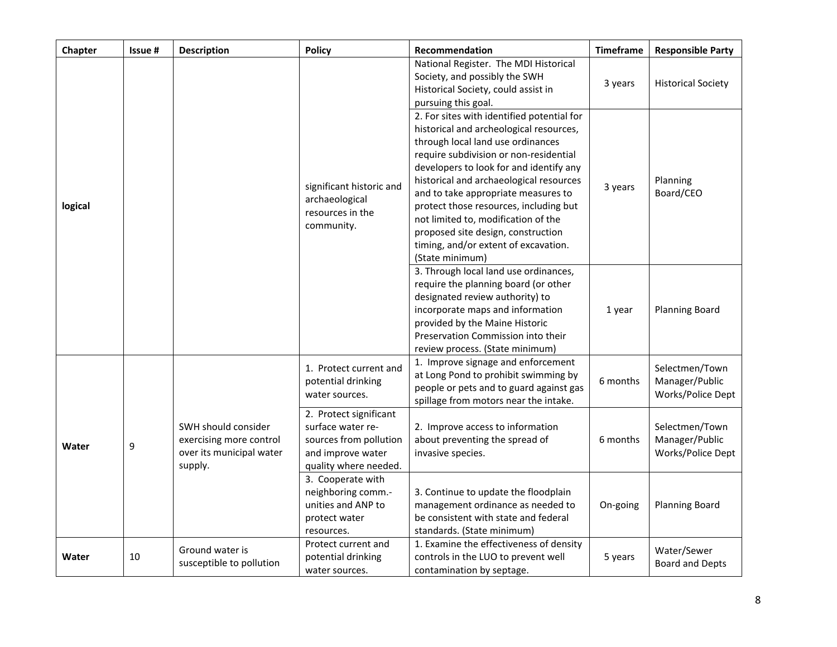| Chapter | Issue # | <b>Description</b>                                                                    | <b>Policy</b>                                                                                                       | Recommendation                                                                                                                                                                                                                                                                                                                                                                                                                                                                      | <b>Timeframe</b> | <b>Responsible Party</b>                              |
|---------|---------|---------------------------------------------------------------------------------------|---------------------------------------------------------------------------------------------------------------------|-------------------------------------------------------------------------------------------------------------------------------------------------------------------------------------------------------------------------------------------------------------------------------------------------------------------------------------------------------------------------------------------------------------------------------------------------------------------------------------|------------------|-------------------------------------------------------|
|         |         |                                                                                       |                                                                                                                     | National Register. The MDI Historical<br>Society, and possibly the SWH<br>Historical Society, could assist in<br>pursuing this goal.                                                                                                                                                                                                                                                                                                                                                | 3 years          | <b>Historical Society</b>                             |
| logical |         |                                                                                       | significant historic and<br>archaeological<br>resources in the<br>community.                                        | 2. For sites with identified potential for<br>historical and archeological resources,<br>through local land use ordinances<br>require subdivision or non-residential<br>developers to look for and identify any<br>historical and archaeological resources<br>and to take appropriate measures to<br>protect those resources, including but<br>not limited to, modification of the<br>proposed site design, construction<br>timing, and/or extent of excavation.<br>(State minimum) | 3 years          | Planning<br>Board/CEO                                 |
|         |         |                                                                                       |                                                                                                                     | 3. Through local land use ordinances,<br>require the planning board (or other<br>designated review authority) to<br>incorporate maps and information<br>provided by the Maine Historic<br>Preservation Commission into their<br>review process. (State minimum)                                                                                                                                                                                                                     | 1 year           | <b>Planning Board</b>                                 |
|         |         | SWH should consider<br>exercising more control<br>over its municipal water<br>supply. | 1. Protect current and<br>potential drinking<br>water sources.                                                      | 1. Improve signage and enforcement<br>at Long Pond to prohibit swimming by<br>people or pets and to guard against gas<br>spillage from motors near the intake.                                                                                                                                                                                                                                                                                                                      | 6 months         | Selectmen/Town<br>Manager/Public<br>Works/Police Dept |
| Water   | 9       |                                                                                       | 2. Protect significant<br>surface water re-<br>sources from pollution<br>and improve water<br>quality where needed. | 2. Improve access to information<br>about preventing the spread of<br>invasive species.                                                                                                                                                                                                                                                                                                                                                                                             | 6 months         | Selectmen/Town<br>Manager/Public<br>Works/Police Dept |
|         |         |                                                                                       | 3. Cooperate with<br>neighboring comm.-<br>unities and ANP to<br>protect water<br>resources.                        | 3. Continue to update the floodplain<br>management ordinance as needed to<br>be consistent with state and federal<br>standards. (State minimum)                                                                                                                                                                                                                                                                                                                                     | On-going         | <b>Planning Board</b>                                 |
| Water   | 10      | Ground water is<br>susceptible to pollution                                           | Protect current and<br>potential drinking<br>water sources.                                                         | 1. Examine the effectiveness of density<br>controls in the LUO to prevent well<br>contamination by septage.                                                                                                                                                                                                                                                                                                                                                                         | 5 years          | Water/Sewer<br><b>Board and Depts</b>                 |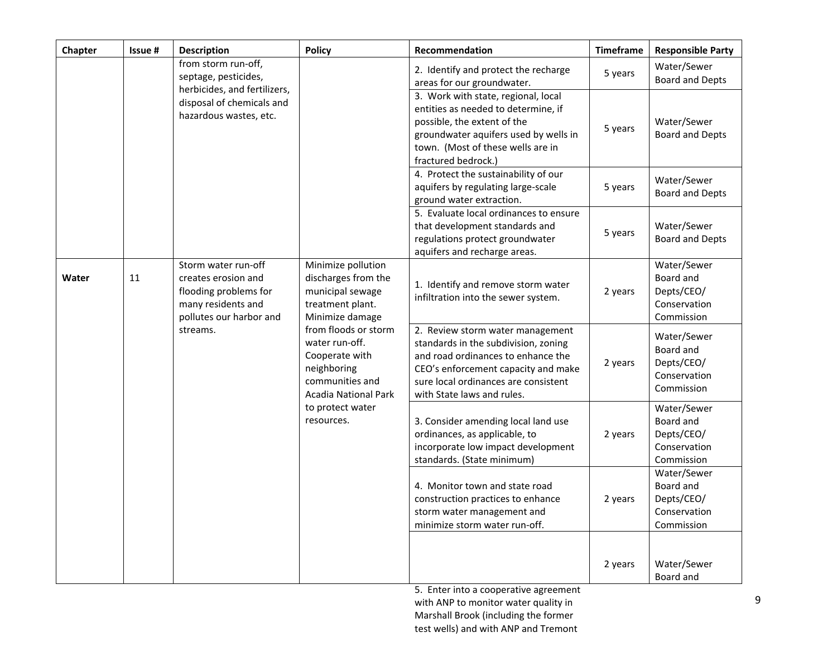| Chapter | Issue #                        | Description                                                                                                                              | <b>Policy</b>                                                                                                             | Recommendation                                                                                                                                                                                                              | <b>Timeframe</b> | <b>Responsible Party</b>                                             |
|---------|--------------------------------|------------------------------------------------------------------------------------------------------------------------------------------|---------------------------------------------------------------------------------------------------------------------------|-----------------------------------------------------------------------------------------------------------------------------------------------------------------------------------------------------------------------------|------------------|----------------------------------------------------------------------|
|         |                                | from storm run-off,<br>septage, pesticides,                                                                                              |                                                                                                                           | 2. Identify and protect the recharge<br>areas for our groundwater.                                                                                                                                                          | 5 years          | Water/Sewer<br><b>Board and Depts</b>                                |
|         |                                | herbicides, and fertilizers,<br>disposal of chemicals and<br>hazardous wastes, etc.                                                      |                                                                                                                           | 3. Work with state, regional, local<br>entities as needed to determine, if<br>possible, the extent of the<br>groundwater aquifers used by wells in<br>town. (Most of these wells are in<br>fractured bedrock.)              | 5 years          | Water/Sewer<br><b>Board and Depts</b>                                |
|         |                                |                                                                                                                                          |                                                                                                                           | 4. Protect the sustainability of our<br>aquifers by regulating large-scale<br>ground water extraction.                                                                                                                      | 5 years          | Water/Sewer<br><b>Board and Depts</b>                                |
|         |                                |                                                                                                                                          |                                                                                                                           | 5. Evaluate local ordinances to ensure<br>that development standards and<br>regulations protect groundwater<br>aquifers and recharge areas.                                                                                 | 5 years          | Water/Sewer<br><b>Board and Depts</b>                                |
| Water   | 11                             | Storm water run-off<br>creates erosion and<br>flooding problems for<br>many residents and<br>pollutes our harbor and                     | Minimize pollution<br>discharges from the<br>municipal sewage<br>treatment plant.<br>Minimize damage                      | 1. Identify and remove storm water<br>infiltration into the sewer system.                                                                                                                                                   | 2 years          | Water/Sewer<br>Board and<br>Depts/CEO/<br>Conservation<br>Commission |
|         |                                | streams.                                                                                                                                 | from floods or storm<br>water run-off.<br>Cooperate with<br>neighboring<br>communities and<br><b>Acadia National Park</b> | 2. Review storm water management<br>standards in the subdivision, zoning<br>and road ordinances to enhance the<br>CEO's enforcement capacity and make<br>sure local ordinances are consistent<br>with State laws and rules. | 2 years          | Water/Sewer<br>Board and<br>Depts/CEO/<br>Conservation<br>Commission |
|         | to protect water<br>resources. | 3. Consider amending local land use<br>ordinances, as applicable, to<br>incorporate low impact development<br>standards. (State minimum) | 2 years                                                                                                                   | Water/Sewer<br>Board and<br>Depts/CEO/<br>Conservation<br>Commission                                                                                                                                                        |                  |                                                                      |
|         |                                |                                                                                                                                          |                                                                                                                           | 4. Monitor town and state road<br>construction practices to enhance<br>storm water management and<br>minimize storm water run-off.                                                                                          | 2 years          | Water/Sewer<br>Board and<br>Depts/CEO/<br>Conservation<br>Commission |
|         |                                |                                                                                                                                          |                                                                                                                           |                                                                                                                                                                                                                             | 2 years          | Water/Sewer<br>Board and                                             |

5. Enter into a cooperative agreement with ANP to monitor water quality in Marshall Brook (including the former test wells) and with ANP and Tremont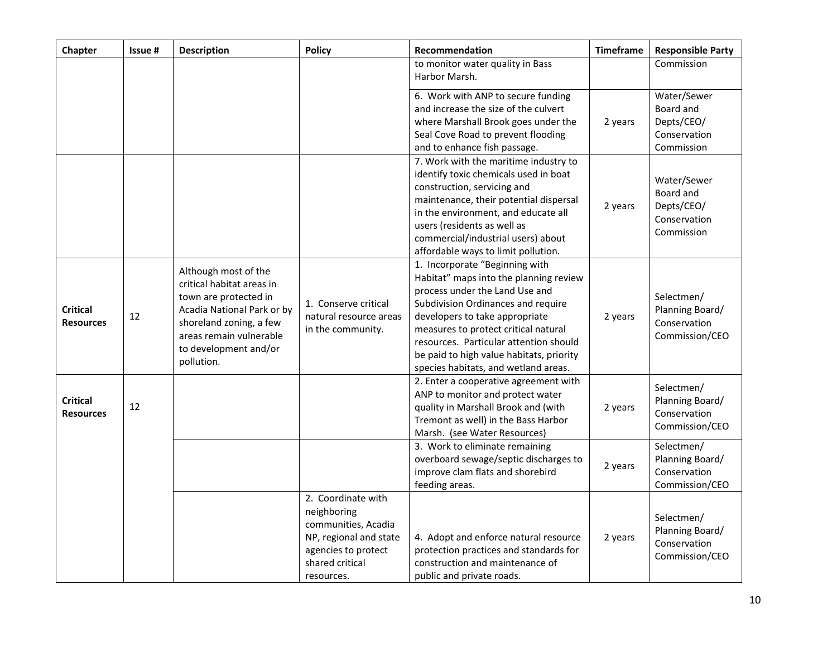| Chapter                             | Issue # | <b>Description</b>                                                                                                                                                                                    | <b>Policy</b>                                                                                                                              | Recommendation                                                                                                                                                                                                                                                                                                                                           | <b>Timeframe</b> | <b>Responsible Party</b>                                             |
|-------------------------------------|---------|-------------------------------------------------------------------------------------------------------------------------------------------------------------------------------------------------------|--------------------------------------------------------------------------------------------------------------------------------------------|----------------------------------------------------------------------------------------------------------------------------------------------------------------------------------------------------------------------------------------------------------------------------------------------------------------------------------------------------------|------------------|----------------------------------------------------------------------|
|                                     |         |                                                                                                                                                                                                       |                                                                                                                                            | to monitor water quality in Bass<br>Harbor Marsh.                                                                                                                                                                                                                                                                                                        |                  | Commission                                                           |
|                                     |         |                                                                                                                                                                                                       |                                                                                                                                            | 6. Work with ANP to secure funding<br>and increase the size of the culvert<br>where Marshall Brook goes under the<br>Seal Cove Road to prevent flooding<br>and to enhance fish passage.                                                                                                                                                                  | 2 years          | Water/Sewer<br>Board and<br>Depts/CEO/<br>Conservation<br>Commission |
|                                     |         |                                                                                                                                                                                                       |                                                                                                                                            | 7. Work with the maritime industry to<br>identify toxic chemicals used in boat<br>construction, servicing and<br>maintenance, their potential dispersal<br>in the environment, and educate all<br>users (residents as well as<br>commercial/industrial users) about<br>affordable ways to limit pollution.                                               | 2 years          | Water/Sewer<br>Board and<br>Depts/CEO/<br>Conservation<br>Commission |
| <b>Critical</b><br><b>Resources</b> | 12      | Although most of the<br>critical habitat areas in<br>town are protected in<br>Acadia National Park or by<br>shoreland zoning, a few<br>areas remain vulnerable<br>to development and/or<br>pollution. | 1. Conserve critical<br>natural resource areas<br>in the community.                                                                        | 1. Incorporate "Beginning with<br>Habitat" maps into the planning review<br>process under the Land Use and<br>Subdivision Ordinances and require<br>developers to take appropriate<br>measures to protect critical natural<br>resources. Particular attention should<br>be paid to high value habitats, priority<br>species habitats, and wetland areas. | 2 years          | Selectmen/<br>Planning Board/<br>Conservation<br>Commission/CEO      |
| <b>Critical</b><br><b>Resources</b> | 12      |                                                                                                                                                                                                       |                                                                                                                                            | 2. Enter a cooperative agreement with<br>ANP to monitor and protect water<br>quality in Marshall Brook and (with<br>Tremont as well) in the Bass Harbor<br>Marsh. (see Water Resources)                                                                                                                                                                  | 2 years          | Selectmen/<br>Planning Board/<br>Conservation<br>Commission/CEO      |
|                                     |         |                                                                                                                                                                                                       |                                                                                                                                            | 3. Work to eliminate remaining<br>overboard sewage/septic discharges to<br>improve clam flats and shorebird<br>feeding areas.                                                                                                                                                                                                                            | 2 years          | Selectmen/<br>Planning Board/<br>Conservation<br>Commission/CEO      |
|                                     |         |                                                                                                                                                                                                       | 2. Coordinate with<br>neighboring<br>communities, Acadia<br>NP, regional and state<br>agencies to protect<br>shared critical<br>resources. | 4. Adopt and enforce natural resource<br>protection practices and standards for<br>construction and maintenance of<br>public and private roads.                                                                                                                                                                                                          | 2 years          | Selectmen/<br>Planning Board/<br>Conservation<br>Commission/CEO      |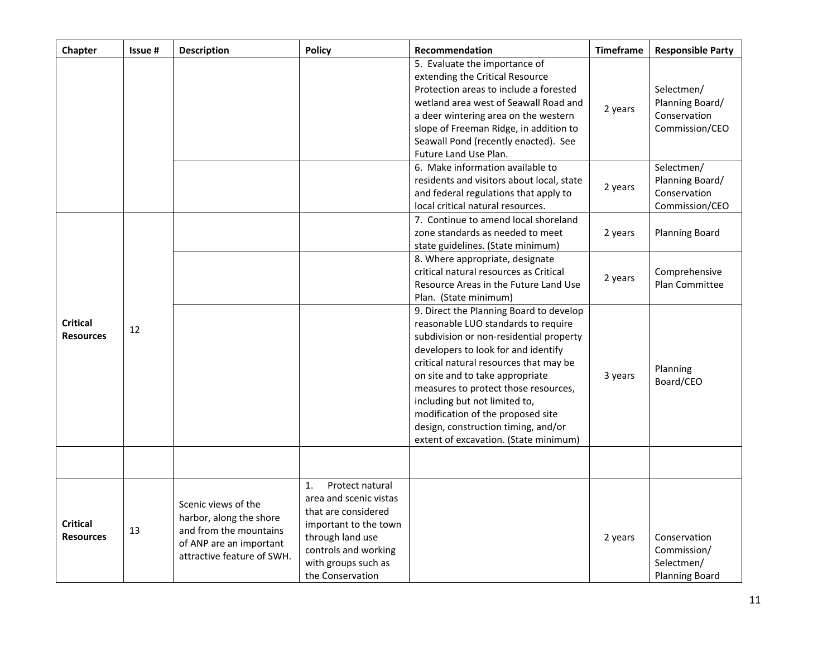| Chapter                                   | Issue # | <b>Description</b>                                                                                                                | <b>Policy</b>                                                                                                                                                                          | Recommendation                                                                                                                                                                                                                                                                                                                                                                                                                              | <b>Timeframe</b> | <b>Responsible Party</b>                                           |
|-------------------------------------------|---------|-----------------------------------------------------------------------------------------------------------------------------------|----------------------------------------------------------------------------------------------------------------------------------------------------------------------------------------|---------------------------------------------------------------------------------------------------------------------------------------------------------------------------------------------------------------------------------------------------------------------------------------------------------------------------------------------------------------------------------------------------------------------------------------------|------------------|--------------------------------------------------------------------|
|                                           |         |                                                                                                                                   |                                                                                                                                                                                        | 5. Evaluate the importance of<br>extending the Critical Resource<br>Protection areas to include a forested<br>wetland area west of Seawall Road and<br>a deer wintering area on the western<br>slope of Freeman Ridge, in addition to<br>Seawall Pond (recently enacted). See<br>Future Land Use Plan.                                                                                                                                      | 2 years          | Selectmen/<br>Planning Board/<br>Conservation<br>Commission/CEO    |
|                                           |         |                                                                                                                                   |                                                                                                                                                                                        | 6. Make information available to<br>residents and visitors about local, state<br>and federal regulations that apply to<br>local critical natural resources.                                                                                                                                                                                                                                                                                 | 2 years          | Selectmen/<br>Planning Board/<br>Conservation<br>Commission/CEO    |
| <b>Critical</b><br>12<br><b>Resources</b> |         |                                                                                                                                   |                                                                                                                                                                                        | 7. Continue to amend local shoreland<br>zone standards as needed to meet<br>state guidelines. (State minimum)                                                                                                                                                                                                                                                                                                                               | 2 years          | <b>Planning Board</b>                                              |
|                                           |         |                                                                                                                                   |                                                                                                                                                                                        | 8. Where appropriate, designate<br>critical natural resources as Critical<br>Resource Areas in the Future Land Use<br>Plan. (State minimum)                                                                                                                                                                                                                                                                                                 | 2 years          | Comprehensive<br>Plan Committee                                    |
|                                           |         |                                                                                                                                   |                                                                                                                                                                                        | 9. Direct the Planning Board to develop<br>reasonable LUO standards to require<br>subdivision or non-residential property<br>developers to look for and identify<br>critical natural resources that may be<br>on site and to take appropriate<br>measures to protect those resources,<br>including but not limited to,<br>modification of the proposed site<br>design, construction timing, and/or<br>extent of excavation. (State minimum) | 3 years          | Planning<br>Board/CEO                                              |
|                                           |         |                                                                                                                                   |                                                                                                                                                                                        |                                                                                                                                                                                                                                                                                                                                                                                                                                             |                  |                                                                    |
| <b>Critical</b><br><b>Resources</b>       | 13      | Scenic views of the<br>harbor, along the shore<br>and from the mountains<br>of ANP are an important<br>attractive feature of SWH. | Protect natural<br>1.<br>area and scenic vistas<br>that are considered<br>important to the town<br>through land use<br>controls and working<br>with groups such as<br>the Conservation |                                                                                                                                                                                                                                                                                                                                                                                                                                             | 2 years          | Conservation<br>Commission/<br>Selectmen/<br><b>Planning Board</b> |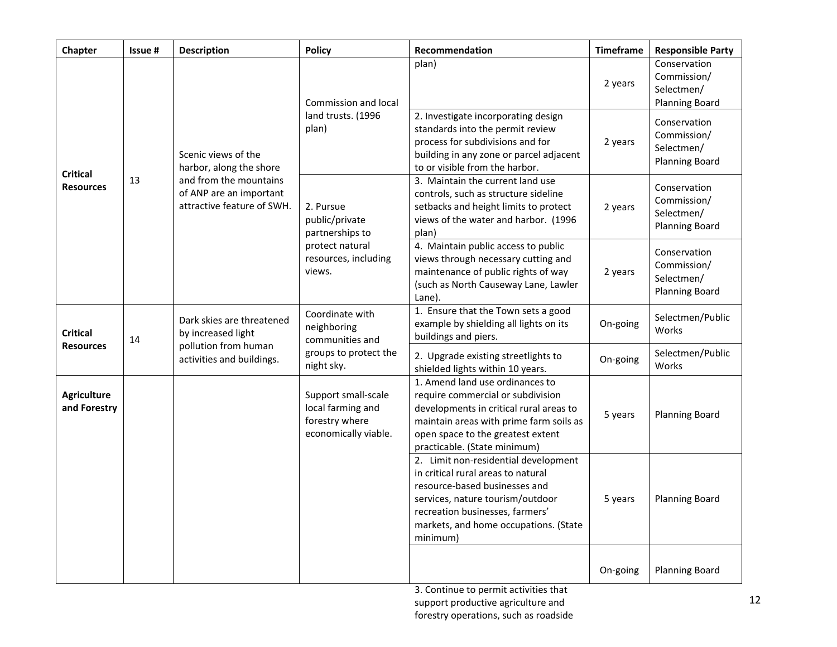| Chapter                                   | Issue #                                                                         | <b>Description</b>                                                      | <b>Policy</b>                                                                                                                                                      | Recommendation                                                                                                                                                                                                                          | <b>Timeframe</b>                                                   | <b>Responsible Party</b>                                           |
|-------------------------------------------|---------------------------------------------------------------------------------|-------------------------------------------------------------------------|--------------------------------------------------------------------------------------------------------------------------------------------------------------------|-----------------------------------------------------------------------------------------------------------------------------------------------------------------------------------------------------------------------------------------|--------------------------------------------------------------------|--------------------------------------------------------------------|
| <b>Critical</b><br>13<br><b>Resources</b> |                                                                                 | Scenic views of the<br>harbor, along the shore                          | Commission and local<br>land trusts. (1996<br>plan)                                                                                                                | plan)                                                                                                                                                                                                                                   | 2 years                                                            | Conservation<br>Commission/<br>Selectmen/<br><b>Planning Board</b> |
|                                           |                                                                                 |                                                                         |                                                                                                                                                                    | 2. Investigate incorporating design<br>standards into the permit review<br>process for subdivisions and for<br>building in any zone or parcel adjacent<br>to or visible from the harbor.                                                | 2 years                                                            | Conservation<br>Commission/<br>Selectmen/<br><b>Planning Board</b> |
|                                           | and from the mountains<br>of ANP are an important<br>attractive feature of SWH. | 2. Pursue<br>public/private<br>partnerships to                          | 3. Maintain the current land use<br>controls, such as structure sideline<br>setbacks and height limits to protect<br>views of the water and harbor. (1996<br>plan) | 2 years                                                                                                                                                                                                                                 | Conservation<br>Commission/<br>Selectmen/<br><b>Planning Board</b> |                                                                    |
|                                           |                                                                                 |                                                                         | protect natural<br>resources, including<br>views.                                                                                                                  | 4. Maintain public access to public<br>views through necessary cutting and<br>maintenance of public rights of way<br>(such as North Causeway Lane, Lawler<br>Lane).                                                                     | 2 years                                                            | Conservation<br>Commission/<br>Selectmen/<br><b>Planning Board</b> |
| <b>Critical</b><br><b>Resources</b>       | 14                                                                              | Dark skies are threatened<br>by increased light<br>pollution from human | Coordinate with<br>neighboring<br>communities and                                                                                                                  | 1. Ensure that the Town sets a good<br>example by shielding all lights on its<br>buildings and piers.                                                                                                                                   | On-going                                                           | Selectmen/Public<br>Works                                          |
|                                           |                                                                                 | activities and buildings.                                               | groups to protect the<br>night sky.                                                                                                                                | 2. Upgrade existing streetlights to<br>shielded lights within 10 years.                                                                                                                                                                 | On-going                                                           | Selectmen/Public<br>Works                                          |
| <b>Agriculture</b><br>and Forestry        |                                                                                 |                                                                         | Support small-scale<br>local farming and<br>forestry where<br>economically viable.                                                                                 | 1. Amend land use ordinances to<br>require commercial or subdivision<br>developments in critical rural areas to<br>maintain areas with prime farm soils as<br>open space to the greatest extent<br>practicable. (State minimum)         | 5 years                                                            | <b>Planning Board</b>                                              |
|                                           |                                                                                 |                                                                         |                                                                                                                                                                    | 2. Limit non-residential development<br>in critical rural areas to natural<br>resource-based businesses and<br>services, nature tourism/outdoor<br>recreation businesses, farmers'<br>markets, and home occupations. (State<br>minimum) | 5 years                                                            | <b>Planning Board</b>                                              |
|                                           |                                                                                 |                                                                         |                                                                                                                                                                    |                                                                                                                                                                                                                                         | On-going                                                           | <b>Planning Board</b>                                              |

3. Continue to permit activities that support productive agriculture and forestry operations, such as roadside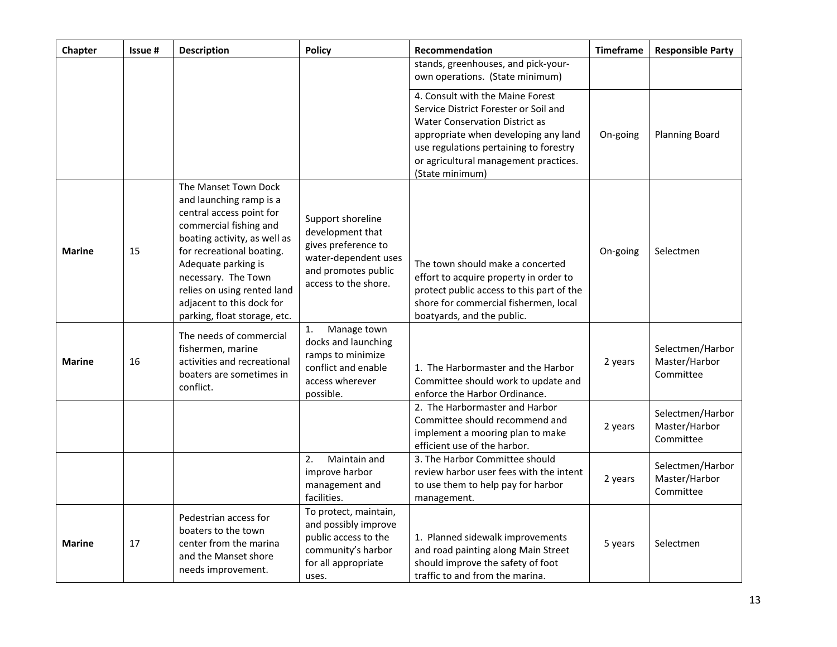| Chapter       | Issue # | Description                                                                                                                                                                                                                                                                                                  | <b>Policy</b>                                                                                                                       | Recommendation                                                                                                                                                                                                                                            | <b>Timeframe</b> | <b>Responsible Party</b>                       |
|---------------|---------|--------------------------------------------------------------------------------------------------------------------------------------------------------------------------------------------------------------------------------------------------------------------------------------------------------------|-------------------------------------------------------------------------------------------------------------------------------------|-----------------------------------------------------------------------------------------------------------------------------------------------------------------------------------------------------------------------------------------------------------|------------------|------------------------------------------------|
|               |         |                                                                                                                                                                                                                                                                                                              |                                                                                                                                     | stands, greenhouses, and pick-your-<br>own operations. (State minimum)                                                                                                                                                                                    |                  |                                                |
|               |         |                                                                                                                                                                                                                                                                                                              |                                                                                                                                     | 4. Consult with the Maine Forest<br>Service District Forester or Soil and<br>Water Conservation District as<br>appropriate when developing any land<br>use regulations pertaining to forestry<br>or agricultural management practices.<br>(State minimum) | On-going         | <b>Planning Board</b>                          |
| <b>Marine</b> | 15      | The Manset Town Dock<br>and launching ramp is a<br>central access point for<br>commercial fishing and<br>boating activity, as well as<br>for recreational boating.<br>Adequate parking is<br>necessary. The Town<br>relies on using rented land<br>adjacent to this dock for<br>parking, float storage, etc. | Support shoreline<br>development that<br>gives preference to<br>water-dependent uses<br>and promotes public<br>access to the shore. | The town should make a concerted<br>effort to acquire property in order to<br>protect public access to this part of the<br>shore for commercial fishermen, local<br>boatyards, and the public.                                                            | On-going         | Selectmen                                      |
| <b>Marine</b> | 16      | The needs of commercial<br>fishermen, marine<br>activities and recreational<br>boaters are sometimes in<br>conflict.                                                                                                                                                                                         | Manage town<br>1.<br>docks and launching<br>ramps to minimize<br>conflict and enable<br>access wherever<br>possible.                | 1. The Harbormaster and the Harbor<br>Committee should work to update and<br>enforce the Harbor Ordinance.                                                                                                                                                | 2 years          | Selectmen/Harbor<br>Master/Harbor<br>Committee |
|               |         |                                                                                                                                                                                                                                                                                                              |                                                                                                                                     | 2. The Harbormaster and Harbor<br>Committee should recommend and<br>implement a mooring plan to make<br>efficient use of the harbor.                                                                                                                      | 2 years          | Selectmen/Harbor<br>Master/Harbor<br>Committee |
|               |         |                                                                                                                                                                                                                                                                                                              | 2.<br>Maintain and<br>improve harbor<br>management and<br>facilities.                                                               | 3. The Harbor Committee should<br>review harbor user fees with the intent<br>to use them to help pay for harbor<br>management.                                                                                                                            | 2 years          | Selectmen/Harbor<br>Master/Harbor<br>Committee |
| <b>Marine</b> | 17      | Pedestrian access for<br>boaters to the town<br>center from the marina<br>and the Manset shore<br>needs improvement.                                                                                                                                                                                         | To protect, maintain,<br>and possibly improve<br>public access to the<br>community's harbor<br>for all appropriate<br>uses.         | 1. Planned sidewalk improvements<br>and road painting along Main Street<br>should improve the safety of foot<br>traffic to and from the marina.                                                                                                           | 5 years          | Selectmen                                      |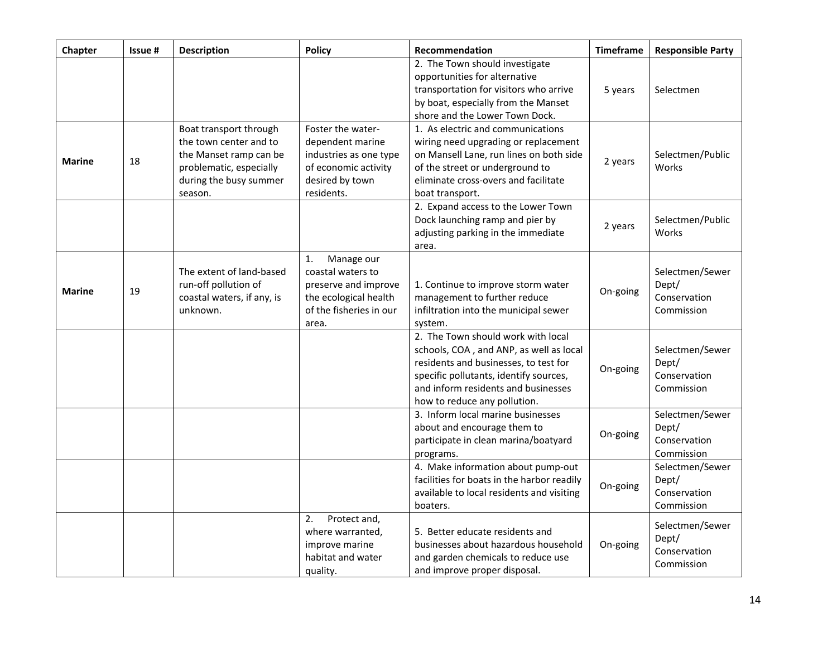| <b>Chapter</b> | Issue # | <b>Description</b>                                                                                                                         | <b>Policy</b>                                                                                                              | Recommendation                                                                                                                                                                                                                          | <b>Timeframe</b> | <b>Responsible Party</b>                               |
|----------------|---------|--------------------------------------------------------------------------------------------------------------------------------------------|----------------------------------------------------------------------------------------------------------------------------|-----------------------------------------------------------------------------------------------------------------------------------------------------------------------------------------------------------------------------------------|------------------|--------------------------------------------------------|
|                |         |                                                                                                                                            |                                                                                                                            | 2. The Town should investigate<br>opportunities for alternative<br>transportation for visitors who arrive<br>by boat, especially from the Manset<br>shore and the Lower Town Dock.                                                      | 5 years          | Selectmen                                              |
| <b>Marine</b>  | 18      | Boat transport through<br>the town center and to<br>the Manset ramp can be<br>problematic, especially<br>during the busy summer<br>season. | Foster the water-<br>dependent marine<br>industries as one type<br>of economic activity<br>desired by town<br>residents.   | 1. As electric and communications<br>wiring need upgrading or replacement<br>on Mansell Lane, run lines on both side<br>of the street or underground to<br>eliminate cross-overs and facilitate<br>boat transport.                      | 2 years          | Selectmen/Public<br>Works                              |
|                |         |                                                                                                                                            |                                                                                                                            | 2. Expand access to the Lower Town<br>Dock launching ramp and pier by<br>adjusting parking in the immediate<br>area.                                                                                                                    | 2 years          | Selectmen/Public<br>Works                              |
| <b>Marine</b>  | 19      | The extent of land-based<br>run-off pollution of<br>coastal waters, if any, is<br>unknown.                                                 | Manage our<br>1.<br>coastal waters to<br>preserve and improve<br>the ecological health<br>of the fisheries in our<br>area. | 1. Continue to improve storm water<br>management to further reduce<br>infiltration into the municipal sewer<br>system.                                                                                                                  | On-going         | Selectmen/Sewer<br>Dept/<br>Conservation<br>Commission |
|                |         |                                                                                                                                            |                                                                                                                            | 2. The Town should work with local<br>schools, COA, and ANP, as well as local<br>residents and businesses, to test for<br>specific pollutants, identify sources,<br>and inform residents and businesses<br>how to reduce any pollution. | On-going         | Selectmen/Sewer<br>Dept/<br>Conservation<br>Commission |
|                |         |                                                                                                                                            |                                                                                                                            | 3. Inform local marine businesses<br>about and encourage them to<br>participate in clean marina/boatyard<br>programs.                                                                                                                   | On-going         | Selectmen/Sewer<br>Dept/<br>Conservation<br>Commission |
|                |         |                                                                                                                                            |                                                                                                                            | 4. Make information about pump-out<br>facilities for boats in the harbor readily<br>available to local residents and visiting<br>boaters.                                                                                               | On-going         | Selectmen/Sewer<br>Dept/<br>Conservation<br>Commission |
|                |         |                                                                                                                                            | Protect and,<br>2.<br>where warranted,<br>improve marine<br>habitat and water<br>quality.                                  | 5. Better educate residents and<br>businesses about hazardous household<br>and garden chemicals to reduce use<br>and improve proper disposal.                                                                                           | On-going         | Selectmen/Sewer<br>Dept/<br>Conservation<br>Commission |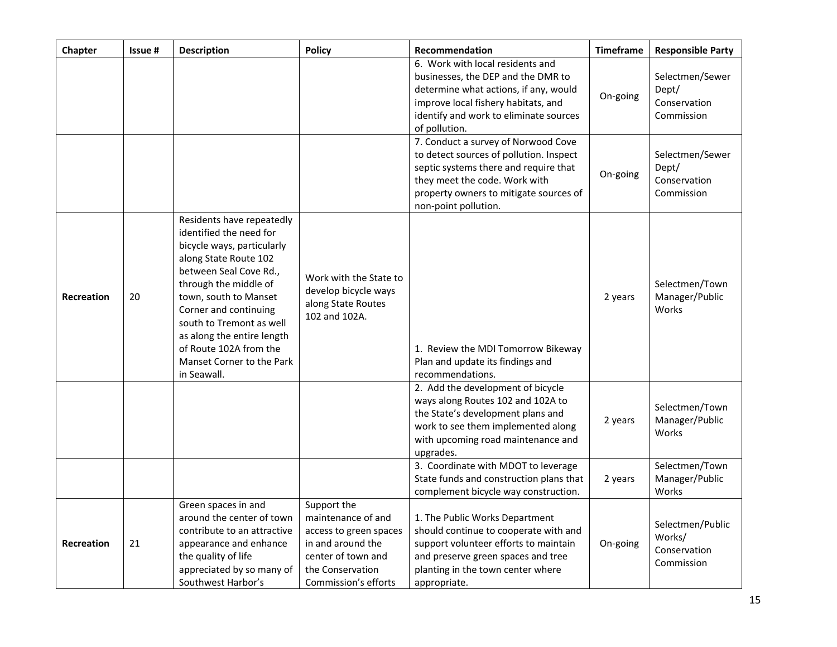| Chapter           | Issue # | <b>Description</b>                                                                                                                                                                                                                                                                                                                               | <b>Policy</b>                                                                                                                                      | Recommendation                                                                                                                                                                                                             | <b>Timeframe</b> | <b>Responsible Party</b>                                 |
|-------------------|---------|--------------------------------------------------------------------------------------------------------------------------------------------------------------------------------------------------------------------------------------------------------------------------------------------------------------------------------------------------|----------------------------------------------------------------------------------------------------------------------------------------------------|----------------------------------------------------------------------------------------------------------------------------------------------------------------------------------------------------------------------------|------------------|----------------------------------------------------------|
|                   |         |                                                                                                                                                                                                                                                                                                                                                  |                                                                                                                                                    | 6. Work with local residents and<br>businesses, the DEP and the DMR to<br>determine what actions, if any, would<br>improve local fishery habitats, and<br>identify and work to eliminate sources<br>of pollution.          | On-going         | Selectmen/Sewer<br>Dept/<br>Conservation<br>Commission   |
|                   |         |                                                                                                                                                                                                                                                                                                                                                  |                                                                                                                                                    | 7. Conduct a survey of Norwood Cove<br>to detect sources of pollution. Inspect<br>septic systems there and require that<br>they meet the code. Work with<br>property owners to mitigate sources of<br>non-point pollution. | On-going         | Selectmen/Sewer<br>Dept/<br>Conservation<br>Commission   |
| <b>Recreation</b> | 20      | Residents have repeatedly<br>identified the need for<br>bicycle ways, particularly<br>along State Route 102<br>between Seal Cove Rd.,<br>through the middle of<br>town, south to Manset<br>Corner and continuing<br>south to Tremont as well<br>as along the entire length<br>of Route 102A from the<br>Manset Corner to the Park<br>in Seawall. | Work with the State to<br>develop bicycle ways<br>along State Routes<br>102 and 102A.                                                              | 1. Review the MDI Tomorrow Bikeway<br>Plan and update its findings and<br>recommendations.                                                                                                                                 | 2 years          | Selectmen/Town<br>Manager/Public<br>Works                |
|                   |         |                                                                                                                                                                                                                                                                                                                                                  |                                                                                                                                                    | 2. Add the development of bicycle<br>ways along Routes 102 and 102A to<br>the State's development plans and<br>work to see them implemented along<br>with upcoming road maintenance and<br>upgrades.                       | 2 years          | Selectmen/Town<br>Manager/Public<br>Works                |
|                   |         |                                                                                                                                                                                                                                                                                                                                                  |                                                                                                                                                    | 3. Coordinate with MDOT to leverage<br>State funds and construction plans that<br>complement bicycle way construction.                                                                                                     | 2 years          | Selectmen/Town<br>Manager/Public<br>Works                |
| <b>Recreation</b> | 21      | Green spaces in and<br>around the center of town<br>contribute to an attractive<br>appearance and enhance<br>the quality of life<br>appreciated by so many of<br>Southwest Harbor's                                                                                                                                                              | Support the<br>maintenance of and<br>access to green spaces<br>in and around the<br>center of town and<br>the Conservation<br>Commission's efforts | 1. The Public Works Department<br>should continue to cooperate with and<br>support volunteer efforts to maintain<br>and preserve green spaces and tree<br>planting in the town center where<br>appropriate.                | On-going         | Selectmen/Public<br>Works/<br>Conservation<br>Commission |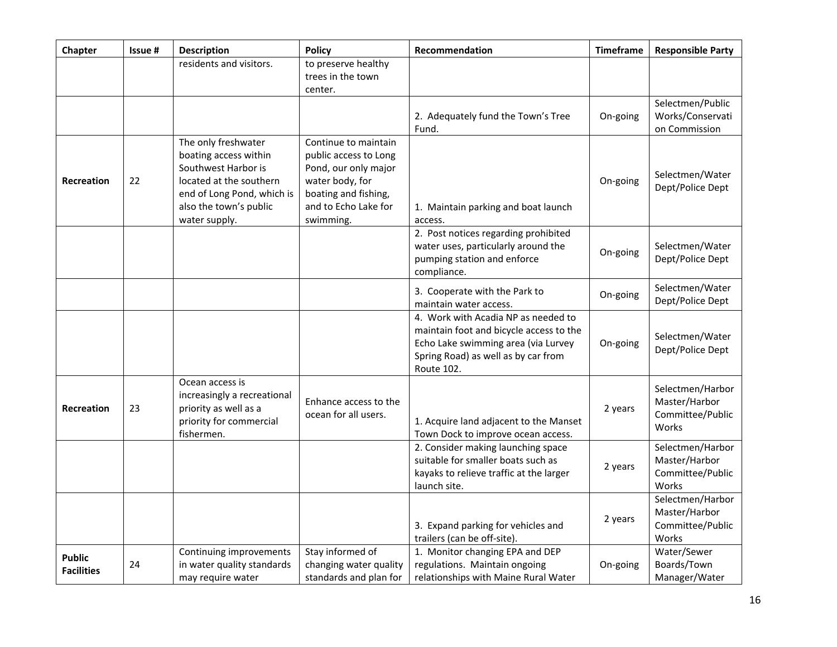| Chapter                            | Issue# | <b>Description</b>                                                                                                                                                      | <b>Policy</b>                                                                                                                                         | Recommendation                                                                                                                                                             | <b>Timeframe</b> | <b>Responsible Party</b>                                       |
|------------------------------------|--------|-------------------------------------------------------------------------------------------------------------------------------------------------------------------------|-------------------------------------------------------------------------------------------------------------------------------------------------------|----------------------------------------------------------------------------------------------------------------------------------------------------------------------------|------------------|----------------------------------------------------------------|
|                                    |        | residents and visitors.                                                                                                                                                 | to preserve healthy<br>trees in the town<br>center.                                                                                                   |                                                                                                                                                                            |                  |                                                                |
|                                    |        |                                                                                                                                                                         |                                                                                                                                                       | 2. Adequately fund the Town's Tree<br>Fund.                                                                                                                                | On-going         | Selectmen/Public<br>Works/Conservati<br>on Commission          |
| <b>Recreation</b>                  | 22     | The only freshwater<br>boating access within<br>Southwest Harbor is<br>located at the southern<br>end of Long Pond, which is<br>also the town's public<br>water supply. | Continue to maintain<br>public access to Long<br>Pond, our only major<br>water body, for<br>boating and fishing,<br>and to Echo Lake for<br>swimming. | 1. Maintain parking and boat launch<br>access.                                                                                                                             | On-going         | Selectmen/Water<br>Dept/Police Dept                            |
|                                    |        |                                                                                                                                                                         |                                                                                                                                                       | 2. Post notices regarding prohibited<br>water uses, particularly around the<br>pumping station and enforce<br>compliance.                                                  | On-going         | Selectmen/Water<br>Dept/Police Dept                            |
|                                    |        |                                                                                                                                                                         |                                                                                                                                                       | 3. Cooperate with the Park to<br>maintain water access.                                                                                                                    | On-going         | Selectmen/Water<br>Dept/Police Dept                            |
|                                    |        |                                                                                                                                                                         |                                                                                                                                                       | 4. Work with Acadia NP as needed to<br>maintain foot and bicycle access to the<br>Echo Lake swimming area (via Lurvey<br>Spring Road) as well as by car from<br>Route 102. | On-going         | Selectmen/Water<br>Dept/Police Dept                            |
| <b>Recreation</b>                  | 23     | Ocean access is<br>increasingly a recreational<br>priority as well as a<br>priority for commercial<br>fishermen.                                                        | Enhance access to the<br>ocean for all users.                                                                                                         | 1. Acquire land adjacent to the Manset<br>Town Dock to improve ocean access.                                                                                               | 2 years          | Selectmen/Harbor<br>Master/Harbor<br>Committee/Public<br>Works |
|                                    |        |                                                                                                                                                                         |                                                                                                                                                       | 2. Consider making launching space<br>suitable for smaller boats such as<br>kayaks to relieve traffic at the larger<br>launch site.                                        | 2 years          | Selectmen/Harbor<br>Master/Harbor<br>Committee/Public<br>Works |
|                                    |        |                                                                                                                                                                         |                                                                                                                                                       | 3. Expand parking for vehicles and<br>trailers (can be off-site).                                                                                                          | 2 years          | Selectmen/Harbor<br>Master/Harbor<br>Committee/Public<br>Works |
| <b>Public</b><br><b>Facilities</b> | 24     | Continuing improvements<br>in water quality standards<br>may require water                                                                                              | Stay informed of<br>changing water quality<br>standards and plan for                                                                                  | 1. Monitor changing EPA and DEP<br>regulations. Maintain ongoing<br>relationships with Maine Rural Water                                                                   | On-going         | Water/Sewer<br>Boards/Town<br>Manager/Water                    |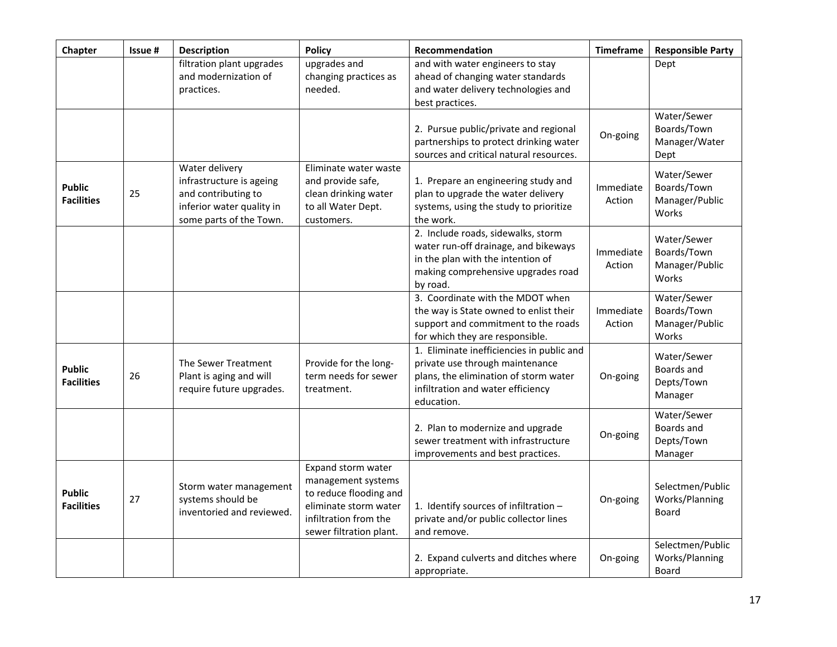| Chapter                            | Issue # | <b>Description</b>                                                                                                        | <b>Policy</b>                                                                                                                                   | Recommendation                                                                                                                                                           | Timeframe           | <b>Responsible Party</b>                              |
|------------------------------------|---------|---------------------------------------------------------------------------------------------------------------------------|-------------------------------------------------------------------------------------------------------------------------------------------------|--------------------------------------------------------------------------------------------------------------------------------------------------------------------------|---------------------|-------------------------------------------------------|
|                                    |         | filtration plant upgrades<br>and modernization of<br>practices.                                                           | upgrades and<br>changing practices as<br>needed.                                                                                                | and with water engineers to stay<br>ahead of changing water standards<br>and water delivery technologies and<br>best practices.                                          |                     | Dept                                                  |
|                                    |         |                                                                                                                           |                                                                                                                                                 | 2. Pursue public/private and regional<br>partnerships to protect drinking water<br>sources and critical natural resources.                                               | On-going            | Water/Sewer<br>Boards/Town<br>Manager/Water<br>Dept   |
| <b>Public</b><br><b>Facilities</b> | 25      | Water delivery<br>infrastructure is ageing<br>and contributing to<br>inferior water quality in<br>some parts of the Town. | Eliminate water waste<br>and provide safe,<br>clean drinking water<br>to all Water Dept.<br>customers.                                          | 1. Prepare an engineering study and<br>plan to upgrade the water delivery<br>systems, using the study to prioritize<br>the work.                                         | Immediate<br>Action | Water/Sewer<br>Boards/Town<br>Manager/Public<br>Works |
|                                    |         |                                                                                                                           |                                                                                                                                                 | 2. Include roads, sidewalks, storm<br>water run-off drainage, and bikeways<br>in the plan with the intention of<br>making comprehensive upgrades road<br>by road.        | Immediate<br>Action | Water/Sewer<br>Boards/Town<br>Manager/Public<br>Works |
|                                    |         |                                                                                                                           |                                                                                                                                                 | 3. Coordinate with the MDOT when<br>the way is State owned to enlist their<br>support and commitment to the roads<br>for which they are responsible.                     | Immediate<br>Action | Water/Sewer<br>Boards/Town<br>Manager/Public<br>Works |
| <b>Public</b><br><b>Facilities</b> | 26      | The Sewer Treatment<br>Plant is aging and will<br>require future upgrades.                                                | Provide for the long-<br>term needs for sewer<br>treatment.                                                                                     | 1. Eliminate inefficiencies in public and<br>private use through maintenance<br>plans, the elimination of storm water<br>infiltration and water efficiency<br>education. | On-going            | Water/Sewer<br>Boards and<br>Depts/Town<br>Manager    |
|                                    |         |                                                                                                                           |                                                                                                                                                 | 2. Plan to modernize and upgrade<br>sewer treatment with infrastructure<br>improvements and best practices.                                                              | On-going            | Water/Sewer<br>Boards and<br>Depts/Town<br>Manager    |
| <b>Public</b><br><b>Facilities</b> | 27      | Storm water management<br>systems should be<br>inventoried and reviewed.                                                  | Expand storm water<br>management systems<br>to reduce flooding and<br>eliminate storm water<br>infiltration from the<br>sewer filtration plant. | 1. Identify sources of infiltration -<br>private and/or public collector lines<br>and remove.                                                                            | On-going            | Selectmen/Public<br>Works/Planning<br><b>Board</b>    |
|                                    |         |                                                                                                                           |                                                                                                                                                 | 2. Expand culverts and ditches where<br>appropriate.                                                                                                                     | On-going            | Selectmen/Public<br>Works/Planning<br><b>Board</b>    |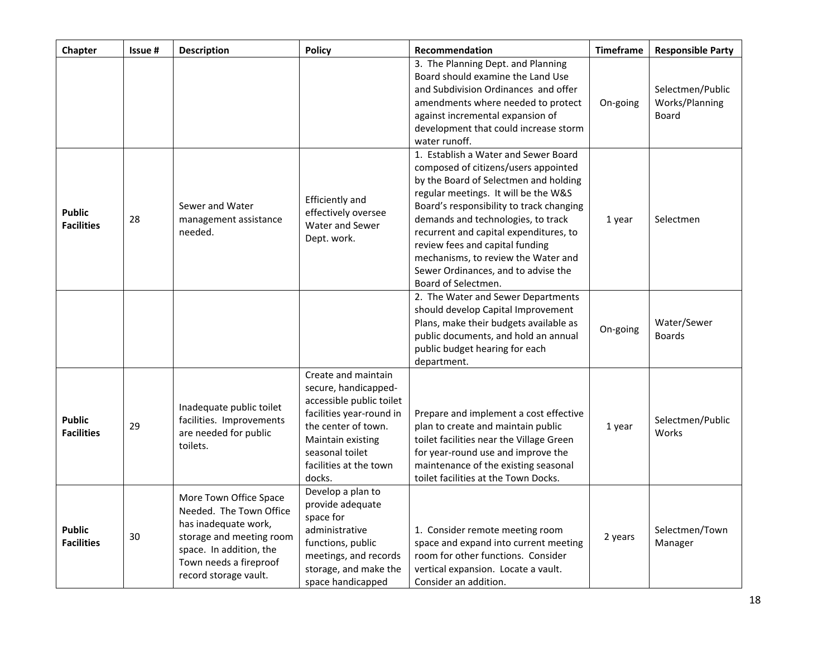| Chapter                            | Issue # | <b>Description</b>                                                                                                                                                                  | <b>Policy</b>                                                                                                                                                                                          | Recommendation                                                                                                                                                                                                                                                                                                                                                                                                                    | <b>Timeframe</b> | <b>Responsible Party</b>                           |
|------------------------------------|---------|-------------------------------------------------------------------------------------------------------------------------------------------------------------------------------------|--------------------------------------------------------------------------------------------------------------------------------------------------------------------------------------------------------|-----------------------------------------------------------------------------------------------------------------------------------------------------------------------------------------------------------------------------------------------------------------------------------------------------------------------------------------------------------------------------------------------------------------------------------|------------------|----------------------------------------------------|
|                                    |         |                                                                                                                                                                                     |                                                                                                                                                                                                        | 3. The Planning Dept. and Planning<br>Board should examine the Land Use<br>and Subdivision Ordinances and offer<br>amendments where needed to protect<br>against incremental expansion of<br>development that could increase storm<br>water runoff.                                                                                                                                                                               | On-going         | Selectmen/Public<br>Works/Planning<br><b>Board</b> |
| <b>Public</b><br><b>Facilities</b> | 28      | Sewer and Water<br>management assistance<br>needed.                                                                                                                                 | Efficiently and<br>effectively oversee<br>Water and Sewer<br>Dept. work.                                                                                                                               | 1. Establish a Water and Sewer Board<br>composed of citizens/users appointed<br>by the Board of Selectmen and holding<br>regular meetings. It will be the W&S<br>Board's responsibility to track changing<br>demands and technologies, to track<br>recurrent and capital expenditures, to<br>review fees and capital funding<br>mechanisms, to review the Water and<br>Sewer Ordinances, and to advise the<br>Board of Selectmen. | 1 year           | Selectmen                                          |
|                                    |         |                                                                                                                                                                                     |                                                                                                                                                                                                        | 2. The Water and Sewer Departments<br>should develop Capital Improvement<br>Plans, make their budgets available as<br>public documents, and hold an annual<br>public budget hearing for each<br>department.                                                                                                                                                                                                                       | On-going         | Water/Sewer<br><b>Boards</b>                       |
| <b>Public</b><br><b>Facilities</b> | 29      | Inadequate public toilet<br>facilities. Improvements<br>are needed for public<br>toilets.                                                                                           | Create and maintain<br>secure, handicapped-<br>accessible public toilet<br>facilities year-round in<br>the center of town.<br>Maintain existing<br>seasonal toilet<br>facilities at the town<br>docks. | Prepare and implement a cost effective<br>plan to create and maintain public<br>toilet facilities near the Village Green<br>for year-round use and improve the<br>maintenance of the existing seasonal<br>toilet facilities at the Town Docks.                                                                                                                                                                                    | 1 year           | Selectmen/Public<br>Works                          |
| <b>Public</b><br><b>Facilities</b> | 30      | More Town Office Space<br>Needed. The Town Office<br>has inadequate work,<br>storage and meeting room<br>space. In addition, the<br>Town needs a fireproof<br>record storage vault. | Develop a plan to<br>provide adequate<br>space for<br>administrative<br>functions, public<br>meetings, and records<br>storage, and make the<br>space handicapped                                       | 1. Consider remote meeting room<br>space and expand into current meeting<br>room for other functions. Consider<br>vertical expansion. Locate a vault.<br>Consider an addition.                                                                                                                                                                                                                                                    | 2 years          | Selectmen/Town<br>Manager                          |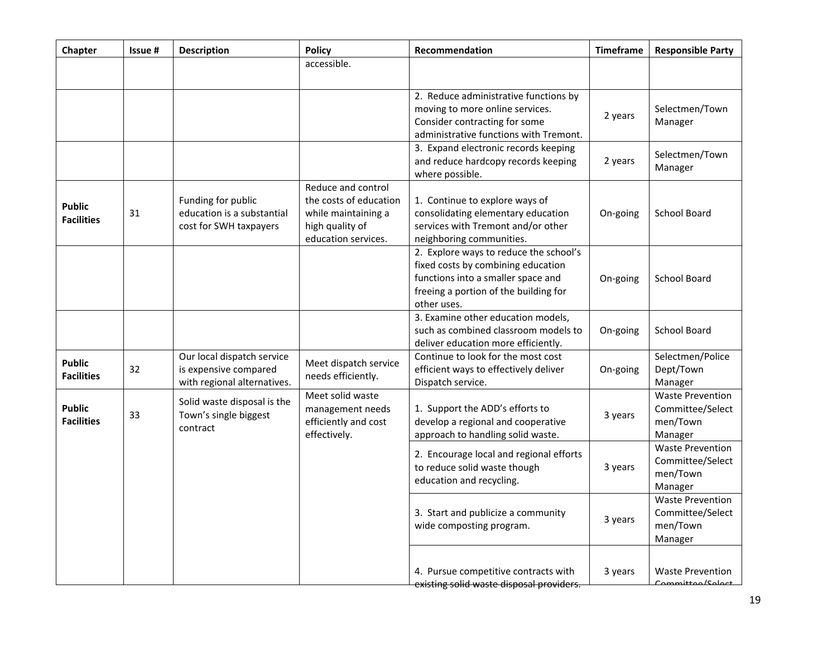| Chapter                            | Issue# | <b>Description</b>                                                                 | <b>Policy</b>                                                                                                 | Recommendation                                                                                                                                                             | <b>Timeframe</b> | <b>Responsible Party</b>                                           |
|------------------------------------|--------|------------------------------------------------------------------------------------|---------------------------------------------------------------------------------------------------------------|----------------------------------------------------------------------------------------------------------------------------------------------------------------------------|------------------|--------------------------------------------------------------------|
|                                    |        |                                                                                    | accessible.                                                                                                   |                                                                                                                                                                            |                  |                                                                    |
|                                    |        |                                                                                    |                                                                                                               | 2. Reduce administrative functions by<br>moving to more online services.<br>Consider contracting for some<br>administrative functions with Tremont.                        | 2 years          | Selectmen/Town<br>Manager                                          |
|                                    |        |                                                                                    |                                                                                                               | 3. Expand electronic records keeping<br>and reduce hardcopy records keeping<br>where possible.                                                                             | 2 years          | Selectmen/Town<br>Manager                                          |
| <b>Public</b><br><b>Facilities</b> | 31     | Funding for public<br>education is a substantial<br>cost for SWH taxpayers         | Reduce and control<br>the costs of education<br>while maintaining a<br>high quality of<br>education services. | 1. Continue to explore ways of<br>consolidating elementary education<br>services with Tremont and/or other<br>neighboring communities.                                     | On-going         | <b>School Board</b>                                                |
|                                    |        |                                                                                    |                                                                                                               | 2. Explore ways to reduce the school's<br>fixed costs by combining education<br>functions into a smaller space and<br>freeing a portion of the building for<br>other uses. | On-going         | <b>School Board</b>                                                |
|                                    |        |                                                                                    |                                                                                                               | 3. Examine other education models,<br>such as combined classroom models to<br>deliver education more efficiently.                                                          | On-going         | <b>School Board</b>                                                |
| <b>Public</b><br><b>Facilities</b> | 32     | Our local dispatch service<br>is expensive compared<br>with regional alternatives. | Meet dispatch service<br>needs efficiently.                                                                   | Continue to look for the most cost<br>efficient ways to effectively deliver<br>Dispatch service.                                                                           | On-going         | Selectmen/Police<br>Dept/Town<br>Manager                           |
| <b>Public</b><br><b>Facilities</b> | 33     | Solid waste disposal is the<br>Town's single biggest<br>contract                   | Meet solid waste<br>management needs<br>efficiently and cost<br>effectively.                                  | 1. Support the ADD's efforts to<br>develop a regional and cooperative<br>approach to handling solid waste.                                                                 | 3 years          | <b>Waste Prevention</b><br>Committee/Select<br>men/Town<br>Manager |
|                                    |        |                                                                                    |                                                                                                               | 2. Encourage local and regional efforts<br>to reduce solid waste though<br>education and recycling.                                                                        | 3 years          | <b>Waste Prevention</b><br>Committee/Select<br>men/Town<br>Manager |
|                                    |        |                                                                                    |                                                                                                               | 3. Start and publicize a community<br>wide composting program.                                                                                                             | 3 years          | <b>Waste Prevention</b><br>Committee/Select<br>men/Town<br>Manager |
|                                    |        |                                                                                    |                                                                                                               | 4. Pursue competitive contracts with<br>existing solid waste disposal providers.                                                                                           | 3 years          | <b>Waste Prevention</b><br>Committoo/Coloct                        |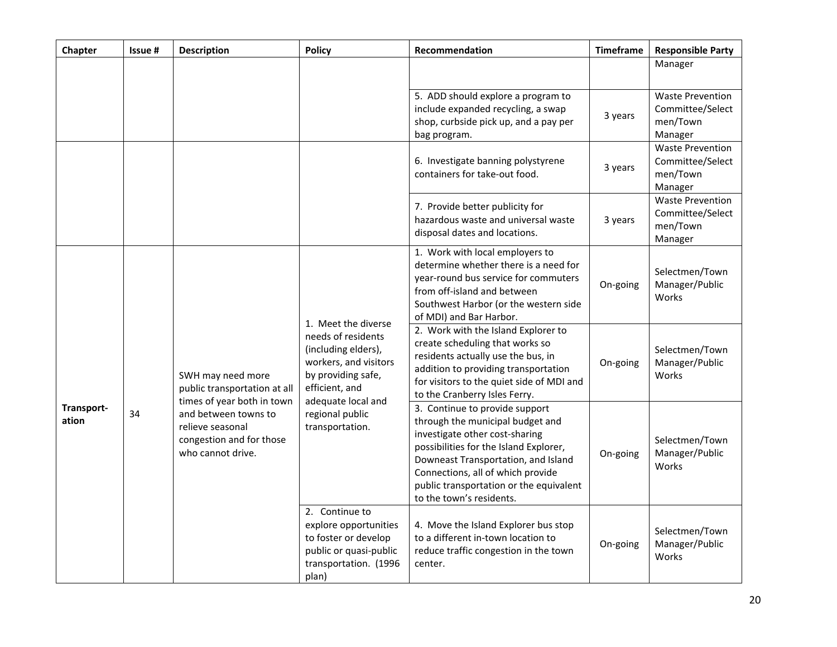| Chapter             | Issue # | Description                                                                                                                                                                  | <b>Policy</b>                                                                                                                                                                                 | Recommendation                                                                                                                                                                                                                                                                                    | <b>Timeframe</b> | <b>Responsible Party</b>                                           |
|---------------------|---------|------------------------------------------------------------------------------------------------------------------------------------------------------------------------------|-----------------------------------------------------------------------------------------------------------------------------------------------------------------------------------------------|---------------------------------------------------------------------------------------------------------------------------------------------------------------------------------------------------------------------------------------------------------------------------------------------------|------------------|--------------------------------------------------------------------|
|                     |         |                                                                                                                                                                              |                                                                                                                                                                                               |                                                                                                                                                                                                                                                                                                   |                  | Manager                                                            |
|                     |         |                                                                                                                                                                              |                                                                                                                                                                                               | 5. ADD should explore a program to<br>include expanded recycling, a swap<br>shop, curbside pick up, and a pay per<br>bag program.                                                                                                                                                                 | 3 years          | <b>Waste Prevention</b><br>Committee/Select<br>men/Town<br>Manager |
|                     |         |                                                                                                                                                                              |                                                                                                                                                                                               | 6. Investigate banning polystyrene<br>containers for take-out food.                                                                                                                                                                                                                               | 3 years          | <b>Waste Prevention</b><br>Committee/Select<br>men/Town<br>Manager |
|                     |         |                                                                                                                                                                              |                                                                                                                                                                                               | 7. Provide better publicity for<br>hazardous waste and universal waste<br>disposal dates and locations.                                                                                                                                                                                           | 3 years          | <b>Waste Prevention</b><br>Committee/Select<br>men/Town<br>Manager |
| Transport-<br>ation | 34      | SWH may need more<br>public transportation at all<br>times of year both in town<br>and between towns to<br>relieve seasonal<br>congestion and for those<br>who cannot drive. | 1. Meet the diverse<br>needs of residents<br>(including elders),<br>workers, and visitors<br>by providing safe,<br>efficient, and<br>adequate local and<br>regional public<br>transportation. | 1. Work with local employers to<br>determine whether there is a need for<br>year-round bus service for commuters<br>from off-island and between<br>Southwest Harbor (or the western side<br>of MDI) and Bar Harbor.                                                                               | On-going         | Selectmen/Town<br>Manager/Public<br>Works                          |
|                     |         |                                                                                                                                                                              |                                                                                                                                                                                               | 2. Work with the Island Explorer to<br>create scheduling that works so<br>residents actually use the bus, in<br>addition to providing transportation<br>for visitors to the quiet side of MDI and<br>to the Cranberry Isles Ferry.                                                                | On-going         | Selectmen/Town<br>Manager/Public<br>Works                          |
|                     |         |                                                                                                                                                                              |                                                                                                                                                                                               | 3. Continue to provide support<br>through the municipal budget and<br>investigate other cost-sharing<br>possibilities for the Island Explorer,<br>Downeast Transportation, and Island<br>Connections, all of which provide<br>public transportation or the equivalent<br>to the town's residents. | On-going         | Selectmen/Town<br>Manager/Public<br>Works                          |
|                     |         |                                                                                                                                                                              | 2. Continue to<br>explore opportunities<br>to foster or develop<br>public or quasi-public<br>transportation. (1996<br>plan)                                                                   | 4. Move the Island Explorer bus stop<br>to a different in-town location to<br>reduce traffic congestion in the town<br>center.                                                                                                                                                                    | On-going         | Selectmen/Town<br>Manager/Public<br>Works                          |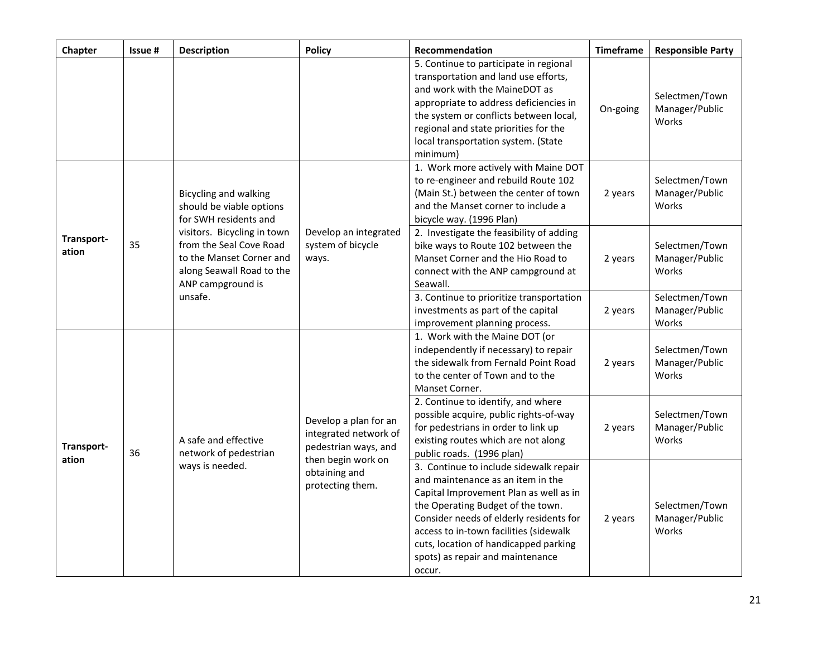| Chapter                   | Issue # | Description                                                                                                                                                                                                                          | <b>Policy</b>                                                                                                                     | Recommendation                                                                                                                                                                                                                                                                                                                         | <b>Timeframe</b> | <b>Responsible Party</b>                  |
|---------------------------|---------|--------------------------------------------------------------------------------------------------------------------------------------------------------------------------------------------------------------------------------------|-----------------------------------------------------------------------------------------------------------------------------------|----------------------------------------------------------------------------------------------------------------------------------------------------------------------------------------------------------------------------------------------------------------------------------------------------------------------------------------|------------------|-------------------------------------------|
|                           |         |                                                                                                                                                                                                                                      |                                                                                                                                   | 5. Continue to participate in regional<br>transportation and land use efforts,<br>and work with the MaineDOT as<br>appropriate to address deficiencies in<br>the system or conflicts between local,<br>regional and state priorities for the<br>local transportation system. (State<br>minimum)                                        | On-going         | Selectmen/Town<br>Manager/Public<br>Works |
| Transport-<br>35<br>ation |         | <b>Bicycling and walking</b><br>should be viable options<br>for SWH residents and<br>visitors. Bicycling in town<br>from the Seal Cove Road<br>to the Manset Corner and<br>along Seawall Road to the<br>ANP campground is<br>unsafe. | Develop an integrated<br>system of bicycle<br>ways.                                                                               | 1. Work more actively with Maine DOT<br>to re-engineer and rebuild Route 102<br>(Main St.) between the center of town<br>and the Manset corner to include a<br>bicycle way. (1996 Plan)                                                                                                                                                | 2 years          | Selectmen/Town<br>Manager/Public<br>Works |
|                           |         |                                                                                                                                                                                                                                      |                                                                                                                                   | 2. Investigate the feasibility of adding<br>bike ways to Route 102 between the<br>Manset Corner and the Hio Road to<br>connect with the ANP campground at<br>Seawall.                                                                                                                                                                  | 2 years          | Selectmen/Town<br>Manager/Public<br>Works |
|                           |         |                                                                                                                                                                                                                                      |                                                                                                                                   | 3. Continue to prioritize transportation<br>investments as part of the capital<br>improvement planning process.                                                                                                                                                                                                                        | 2 years          | Selectmen/Town<br>Manager/Public<br>Works |
| Transport-<br>ation       |         | A safe and effective<br>network of pedestrian<br>ways is needed.                                                                                                                                                                     | Develop a plan for an<br>integrated network of<br>pedestrian ways, and<br>then begin work on<br>obtaining and<br>protecting them. | 1. Work with the Maine DOT (or<br>independently if necessary) to repair<br>the sidewalk from Fernald Point Road<br>to the center of Town and to the<br>Manset Corner.                                                                                                                                                                  | 2 years          | Selectmen/Town<br>Manager/Public<br>Works |
|                           | 36      |                                                                                                                                                                                                                                      |                                                                                                                                   | 2. Continue to identify, and where<br>possible acquire, public rights-of-way<br>for pedestrians in order to link up<br>existing routes which are not along<br>public roads. (1996 plan)                                                                                                                                                | 2 years          | Selectmen/Town<br>Manager/Public<br>Works |
|                           |         |                                                                                                                                                                                                                                      |                                                                                                                                   | 3. Continue to include sidewalk repair<br>and maintenance as an item in the<br>Capital Improvement Plan as well as in<br>the Operating Budget of the town.<br>Consider needs of elderly residents for<br>access to in-town facilities (sidewalk<br>cuts, location of handicapped parking<br>spots) as repair and maintenance<br>occur. | 2 years          | Selectmen/Town<br>Manager/Public<br>Works |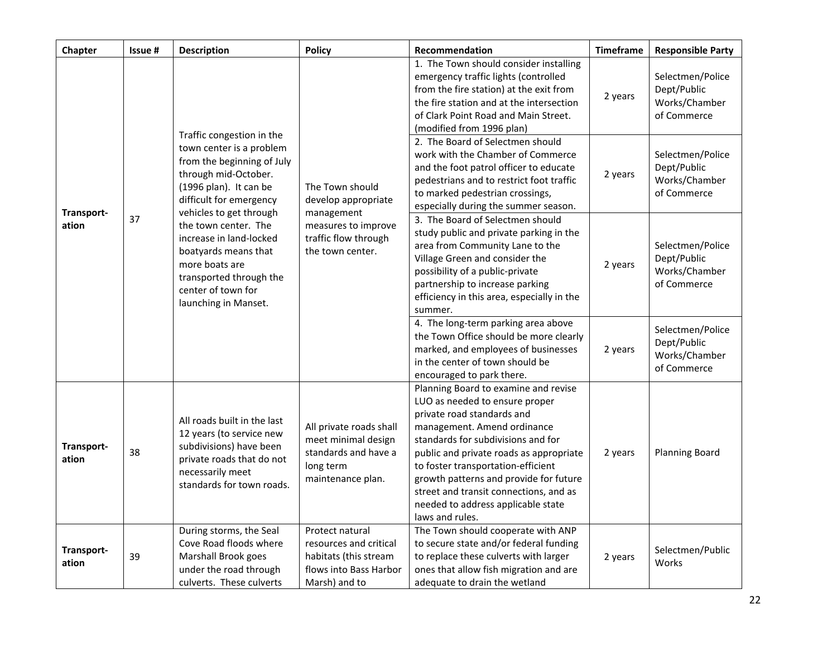| Chapter             | Issue# | <b>Description</b>                                                                                                                                                                                                                                                                                                                                                | <b>Policy</b>                                                                                                           | Recommendation                                                                                                                                                                                                                                                                                                                                                                                          | <b>Timeframe</b> | <b>Responsible Party</b>                                        |
|---------------------|--------|-------------------------------------------------------------------------------------------------------------------------------------------------------------------------------------------------------------------------------------------------------------------------------------------------------------------------------------------------------------------|-------------------------------------------------------------------------------------------------------------------------|---------------------------------------------------------------------------------------------------------------------------------------------------------------------------------------------------------------------------------------------------------------------------------------------------------------------------------------------------------------------------------------------------------|------------------|-----------------------------------------------------------------|
| Transport-<br>ation | 37     | Traffic congestion in the<br>town center is a problem<br>from the beginning of July<br>through mid-October.<br>(1996 plan). It can be<br>difficult for emergency<br>vehicles to get through<br>the town center. The<br>increase in land-locked<br>boatyards means that<br>more boats are<br>transported through the<br>center of town for<br>launching in Manset. | The Town should<br>develop appropriate<br>management<br>measures to improve<br>traffic flow through<br>the town center. | 1. The Town should consider installing<br>emergency traffic lights (controlled<br>from the fire station) at the exit from<br>the fire station and at the intersection<br>of Clark Point Road and Main Street.<br>(modified from 1996 plan)                                                                                                                                                              | 2 years          | Selectmen/Police<br>Dept/Public<br>Works/Chamber<br>of Commerce |
|                     |        |                                                                                                                                                                                                                                                                                                                                                                   |                                                                                                                         | 2. The Board of Selectmen should<br>work with the Chamber of Commerce<br>and the foot patrol officer to educate<br>pedestrians and to restrict foot traffic<br>to marked pedestrian crossings,<br>especially during the summer season.                                                                                                                                                                  | 2 years          | Selectmen/Police<br>Dept/Public<br>Works/Chamber<br>of Commerce |
|                     |        |                                                                                                                                                                                                                                                                                                                                                                   |                                                                                                                         | 3. The Board of Selectmen should<br>study public and private parking in the<br>area from Community Lane to the<br>Village Green and consider the<br>possibility of a public-private<br>partnership to increase parking<br>efficiency in this area, especially in the<br>summer.                                                                                                                         | 2 years          | Selectmen/Police<br>Dept/Public<br>Works/Chamber<br>of Commerce |
|                     |        |                                                                                                                                                                                                                                                                                                                                                                   |                                                                                                                         | 4. The long-term parking area above<br>the Town Office should be more clearly<br>marked, and employees of businesses<br>in the center of town should be<br>encouraged to park there.                                                                                                                                                                                                                    | 2 years          | Selectmen/Police<br>Dept/Public<br>Works/Chamber<br>of Commerce |
| Transport-<br>ation | 38     | All roads built in the last<br>12 years (to service new<br>subdivisions) have been<br>private roads that do not<br>necessarily meet<br>standards for town roads.                                                                                                                                                                                                  | All private roads shall<br>meet minimal design<br>standards and have a<br>long term<br>maintenance plan.                | Planning Board to examine and revise<br>LUO as needed to ensure proper<br>private road standards and<br>management. Amend ordinance<br>standards for subdivisions and for<br>public and private roads as appropriate<br>to foster transportation-efficient<br>growth patterns and provide for future<br>street and transit connections, and as<br>needed to address applicable state<br>laws and rules. | 2 years          | <b>Planning Board</b>                                           |
| Transport-<br>ation | 39     | During storms, the Seal<br>Cove Road floods where<br>Marshall Brook goes<br>under the road through<br>culverts. These culverts                                                                                                                                                                                                                                    | Protect natural<br>resources and critical<br>habitats (this stream<br>flows into Bass Harbor<br>Marsh) and to           | The Town should cooperate with ANP<br>to secure state and/or federal funding<br>to replace these culverts with larger<br>ones that allow fish migration and are<br>adequate to drain the wetland                                                                                                                                                                                                        | 2 years          | Selectmen/Public<br>Works                                       |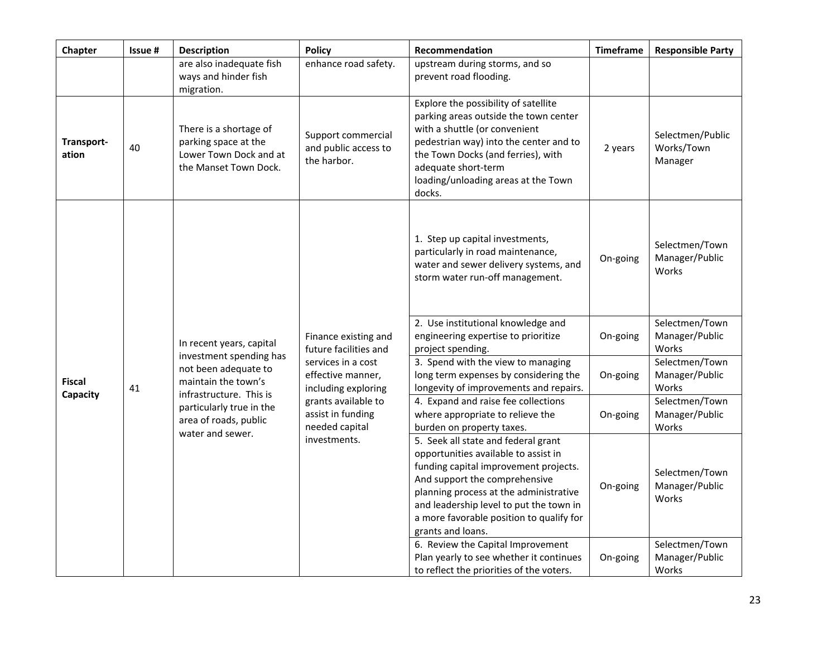| Chapter                   | Issue # | <b>Description</b>                                                                                | <b>Policy</b>                                                                                                   | Recommendation                                                                                                                                                                                                                                                                                              | <b>Timeframe</b> | <b>Responsible Party</b>                  |
|---------------------------|---------|---------------------------------------------------------------------------------------------------|-----------------------------------------------------------------------------------------------------------------|-------------------------------------------------------------------------------------------------------------------------------------------------------------------------------------------------------------------------------------------------------------------------------------------------------------|------------------|-------------------------------------------|
|                           |         | are also inadequate fish<br>ways and hinder fish<br>migration.                                    | enhance road safety.                                                                                            | upstream during storms, and so<br>prevent road flooding.                                                                                                                                                                                                                                                    |                  |                                           |
| Transport-<br>ation       | 40      | There is a shortage of<br>parking space at the<br>Lower Town Dock and at<br>the Manset Town Dock. | Support commercial<br>and public access to<br>the harbor.                                                       | Explore the possibility of satellite<br>parking areas outside the town center<br>with a shuttle (or convenient<br>pedestrian way) into the center and to<br>the Town Docks (and ferries), with<br>adequate short-term<br>loading/unloading areas at the Town<br>docks.                                      | 2 years          | Selectmen/Public<br>Works/Town<br>Manager |
|                           |         | In recent years, capital                                                                          | Finance existing and<br>future facilities and<br>services in a cost<br>effective manner,<br>including exploring | 1. Step up capital investments,<br>particularly in road maintenance,<br>water and sewer delivery systems, and<br>storm water run-off management.                                                                                                                                                            | On-going         | Selectmen/Town<br>Manager/Public<br>Works |
|                           |         |                                                                                                   |                                                                                                                 | 2. Use institutional knowledge and<br>engineering expertise to prioritize<br>project spending.                                                                                                                                                                                                              | On-going         | Selectmen/Town<br>Manager/Public<br>Works |
| <b>Fiscal</b><br>Capacity | 41      | investment spending has<br>not been adequate to<br>maintain the town's                            |                                                                                                                 | 3. Spend with the view to managing<br>long term expenses by considering the<br>longevity of improvements and repairs.                                                                                                                                                                                       | On-going         | Selectmen/Town<br>Manager/Public<br>Works |
|                           |         | infrastructure. This is<br>particularly true in the<br>area of roads, public<br>water and sewer.  | grants available to<br>assist in funding<br>needed capital                                                      | 4. Expand and raise fee collections<br>where appropriate to relieve the<br>burden on property taxes.                                                                                                                                                                                                        | On-going         | Selectmen/Town<br>Manager/Public<br>Works |
|                           |         |                                                                                                   | investments.                                                                                                    | 5. Seek all state and federal grant<br>opportunities available to assist in<br>funding capital improvement projects.<br>And support the comprehensive<br>planning process at the administrative<br>and leadership level to put the town in<br>a more favorable position to qualify for<br>grants and loans. | On-going         | Selectmen/Town<br>Manager/Public<br>Works |
|                           |         |                                                                                                   |                                                                                                                 | 6. Review the Capital Improvement<br>Plan yearly to see whether it continues<br>to reflect the priorities of the voters.                                                                                                                                                                                    | On-going         | Selectmen/Town<br>Manager/Public<br>Works |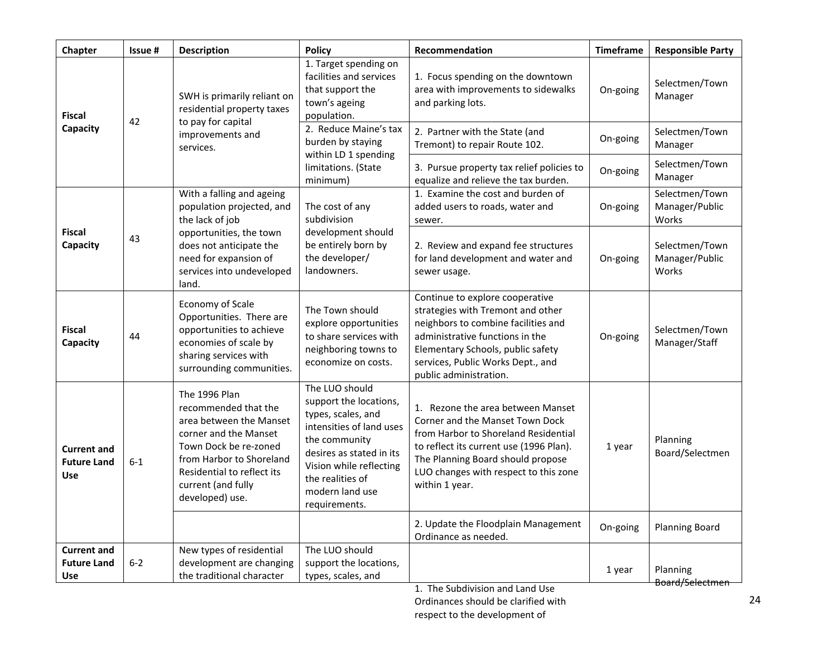| Chapter                                                | Issue # | <b>Description</b>                                                                                                                                                                                                    | <b>Policy</b>                                                                                                                                                                                                              | Recommendation                                                                                                                                                                                                                                          | <b>Timeframe</b> | <b>Responsible Party</b>                  |
|--------------------------------------------------------|---------|-----------------------------------------------------------------------------------------------------------------------------------------------------------------------------------------------------------------------|----------------------------------------------------------------------------------------------------------------------------------------------------------------------------------------------------------------------------|---------------------------------------------------------------------------------------------------------------------------------------------------------------------------------------------------------------------------------------------------------|------------------|-------------------------------------------|
| <b>Fiscal</b>                                          |         | SWH is primarily reliant on<br>residential property taxes                                                                                                                                                             | 1. Target spending on<br>facilities and services<br>that support the<br>town's ageing<br>population.                                                                                                                       | 1. Focus spending on the downtown<br>area with improvements to sidewalks<br>and parking lots.                                                                                                                                                           | On-going         | Selectmen/Town<br>Manager                 |
| Capacity                                               | 42      | to pay for capital<br>improvements and<br>services.                                                                                                                                                                   | 2. Reduce Maine's tax<br>burden by staying<br>within LD 1 spending                                                                                                                                                         | 2. Partner with the State (and<br>Tremont) to repair Route 102.                                                                                                                                                                                         | On-going         | Selectmen/Town<br>Manager                 |
|                                                        |         |                                                                                                                                                                                                                       | limitations. (State<br>minimum)                                                                                                                                                                                            | 3. Pursue property tax relief policies to<br>equalize and relieve the tax burden.                                                                                                                                                                       | On-going         | Selectmen/Town<br>Manager                 |
| <b>Fiscal</b><br>43<br>Capacity                        |         | With a falling and ageing<br>population projected, and<br>the lack of job<br>opportunities, the town<br>does not anticipate the<br>need for expansion of<br>services into undeveloped<br>land.                        | The cost of any<br>subdivision                                                                                                                                                                                             | 1. Examine the cost and burden of<br>added users to roads, water and<br>sewer.                                                                                                                                                                          | On-going         | Selectmen/Town<br>Manager/Public<br>Works |
|                                                        |         |                                                                                                                                                                                                                       | development should<br>be entirely born by<br>the developer/<br>landowners.                                                                                                                                                 | 2. Review and expand fee structures<br>for land development and water and<br>sewer usage.                                                                                                                                                               | On-going         | Selectmen/Town<br>Manager/Public<br>Works |
| <b>Fiscal</b><br>Capacity                              | 44      | Economy of Scale<br>Opportunities. There are<br>opportunities to achieve<br>economies of scale by<br>sharing services with<br>surrounding communities.                                                                | The Town should<br>explore opportunities<br>to share services with<br>neighboring towns to<br>economize on costs.                                                                                                          | Continue to explore cooperative<br>strategies with Tremont and other<br>neighbors to combine facilities and<br>administrative functions in the<br>Elementary Schools, public safety<br>services, Public Works Dept., and<br>public administration.      | On-going         | Selectmen/Town<br>Manager/Staff           |
| <b>Current and</b><br><b>Future Land</b><br><b>Use</b> | $6 - 1$ | The 1996 Plan<br>recommended that the<br>area between the Manset<br>corner and the Manset<br>Town Dock be re-zoned<br>from Harbor to Shoreland<br>Residential to reflect its<br>current (and fully<br>developed) use. | The LUO should<br>support the locations,<br>types, scales, and<br>intensities of land uses<br>the community<br>desires as stated in its<br>Vision while reflecting<br>the realities of<br>modern land use<br>requirements. | 1. Rezone the area between Manset<br>Corner and the Manset Town Dock<br>from Harbor to Shoreland Residential<br>to reflect its current use (1996 Plan).<br>The Planning Board should propose<br>LUO changes with respect to this zone<br>within 1 year. | 1 year           | Planning<br>Board/Selectmen               |
|                                                        |         |                                                                                                                                                                                                                       |                                                                                                                                                                                                                            | 2. Update the Floodplain Management<br>Ordinance as needed.                                                                                                                                                                                             | On-going         | <b>Planning Board</b>                     |
| <b>Current and</b><br><b>Future Land</b><br><b>Use</b> | $6 - 2$ | New types of residential<br>development are changing<br>the traditional character                                                                                                                                     | The LUO should<br>support the locations,<br>types, scales, and                                                                                                                                                             | The Cultivistan and Lond Unio                                                                                                                                                                                                                           | 1 year           | Planning<br>Board/Selectmen               |

1. The Subdivision and Land Use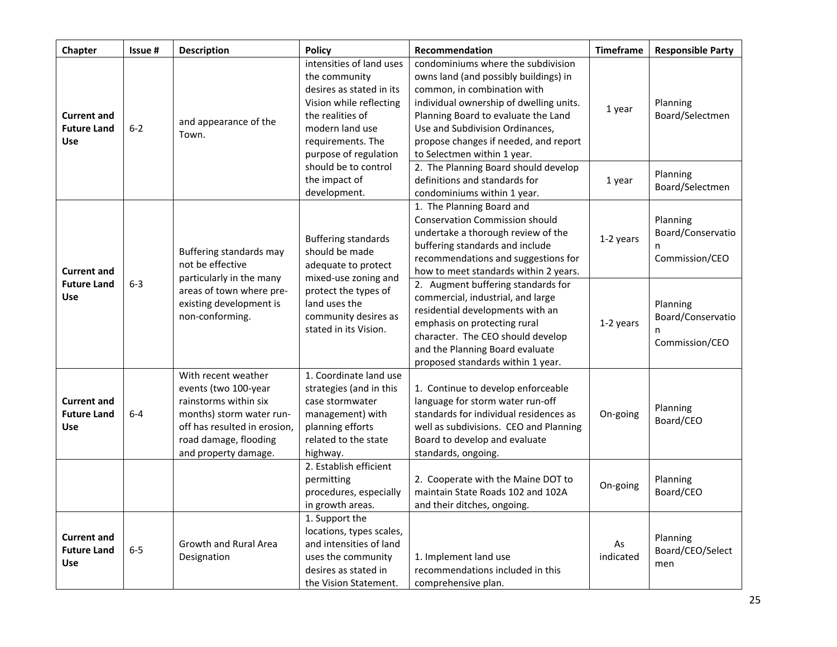| Chapter                                                | Issue # | <b>Description</b>                                                                                                                                                                | <b>Policy</b>                                                                                                                                                                         | Recommendation                                                                                                                                                                                                                                                                                          | <b>Timeframe</b> | <b>Responsible Party</b>                             |
|--------------------------------------------------------|---------|-----------------------------------------------------------------------------------------------------------------------------------------------------------------------------------|---------------------------------------------------------------------------------------------------------------------------------------------------------------------------------------|---------------------------------------------------------------------------------------------------------------------------------------------------------------------------------------------------------------------------------------------------------------------------------------------------------|------------------|------------------------------------------------------|
| <b>Current and</b><br><b>Future Land</b><br><b>Use</b> | $6 - 2$ | and appearance of the<br>Town.                                                                                                                                                    | intensities of land uses<br>the community<br>desires as stated in its<br>Vision while reflecting<br>the realities of<br>modern land use<br>requirements. The<br>purpose of regulation | condominiums where the subdivision<br>owns land (and possibly buildings) in<br>common, in combination with<br>individual ownership of dwelling units.<br>Planning Board to evaluate the Land<br>Use and Subdivision Ordinances.<br>propose changes if needed, and report<br>to Selectmen within 1 year. | 1 year           | Planning<br>Board/Selectmen                          |
|                                                        |         |                                                                                                                                                                                   | should be to control<br>the impact of<br>development.                                                                                                                                 | 2. The Planning Board should develop<br>definitions and standards for<br>condominiums within 1 year.                                                                                                                                                                                                    | 1 year           | Planning<br>Board/Selectmen                          |
| <b>Current and</b>                                     |         | Buffering standards may<br>not be effective<br>particularly in the many                                                                                                           | <b>Buffering standards</b><br>should be made<br>adequate to protect<br>mixed-use zoning and                                                                                           | 1. The Planning Board and<br><b>Conservation Commission should</b><br>undertake a thorough review of the<br>buffering standards and include<br>recommendations and suggestions for<br>how to meet standards within 2 years.                                                                             | 1-2 years        | Planning<br>Board/Conservatio<br>n<br>Commission/CEO |
| <b>Future Land</b><br><b>Use</b>                       | $6-3$   | areas of town where pre-<br>existing development is<br>non-conforming.                                                                                                            | protect the types of<br>land uses the<br>community desires as<br>stated in its Vision.                                                                                                | 2. Augment buffering standards for<br>commercial, industrial, and large<br>residential developments with an<br>emphasis on protecting rural<br>character. The CEO should develop<br>and the Planning Board evaluate<br>proposed standards within 1 year.                                                | 1-2 years        | Planning<br>Board/Conservatio<br>n<br>Commission/CEO |
| <b>Current and</b><br><b>Future Land</b><br><b>Use</b> | $6-4$   | With recent weather<br>events (two 100-year<br>rainstorms within six<br>months) storm water run-<br>off has resulted in erosion,<br>road damage, flooding<br>and property damage. | 1. Coordinate land use<br>strategies (and in this<br>case stormwater<br>management) with<br>planning efforts<br>related to the state<br>highway.                                      | 1. Continue to develop enforceable<br>language for storm water run-off<br>standards for individual residences as<br>well as subdivisions. CEO and Planning<br>Board to develop and evaluate<br>standards, ongoing.                                                                                      | On-going         | Planning<br>Board/CEO                                |
|                                                        |         |                                                                                                                                                                                   | 2. Establish efficient<br>permitting<br>procedures, especially<br>in growth areas.                                                                                                    | 2. Cooperate with the Maine DOT to<br>maintain State Roads 102 and 102A<br>and their ditches, ongoing.                                                                                                                                                                                                  | On-going         | Planning<br>Board/CEO                                |
| <b>Current and</b><br><b>Future Land</b><br><b>Use</b> | $6-5$   | Growth and Rural Area<br>Designation                                                                                                                                              | 1. Support the<br>locations, types scales,<br>and intensities of land<br>uses the community<br>desires as stated in<br>the Vision Statement.                                          | 1. Implement land use<br>recommendations included in this<br>comprehensive plan.                                                                                                                                                                                                                        | As<br>indicated  | Planning<br>Board/CEO/Select<br>men                  |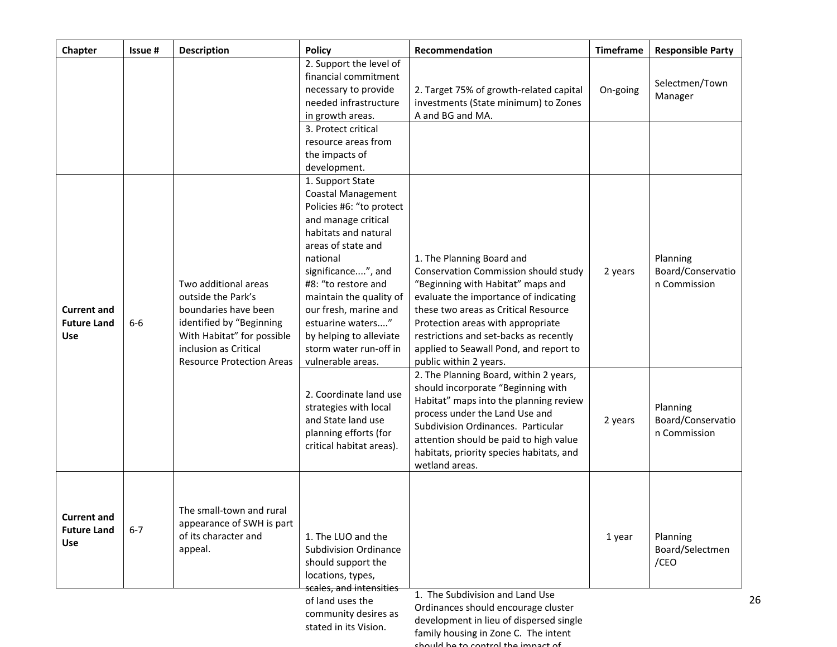| Chapter                                                | Issue # | <b>Description</b>                                                                                                                                                                        | <b>Policy</b>                                                                                                                                                                                                                                                                                                                                                                        | Recommendation                                                                                                                                                                                                                                                                                                                                                                                                             | <b>Timeframe</b> | <b>Responsible Party</b>                      |
|--------------------------------------------------------|---------|-------------------------------------------------------------------------------------------------------------------------------------------------------------------------------------------|--------------------------------------------------------------------------------------------------------------------------------------------------------------------------------------------------------------------------------------------------------------------------------------------------------------------------------------------------------------------------------------|----------------------------------------------------------------------------------------------------------------------------------------------------------------------------------------------------------------------------------------------------------------------------------------------------------------------------------------------------------------------------------------------------------------------------|------------------|-----------------------------------------------|
|                                                        |         |                                                                                                                                                                                           | 2. Support the level of<br>financial commitment<br>necessary to provide<br>needed infrastructure<br>in growth areas.<br>3. Protect critical<br>resource areas from<br>the impacts of<br>development.                                                                                                                                                                                 | 2. Target 75% of growth-related capital<br>investments (State minimum) to Zones<br>A and BG and MA.                                                                                                                                                                                                                                                                                                                        | On-going         | Selectmen/Town<br>Manager                     |
| <b>Current and</b><br><b>Future Land</b><br>Use        | $6-6$   | Two additional areas<br>outside the Park's<br>boundaries have been<br>identified by "Beginning<br>With Habitat" for possible<br>inclusion as Critical<br><b>Resource Protection Areas</b> | 1. Support State<br><b>Coastal Management</b><br>Policies #6: "to protect<br>and manage critical<br>habitats and natural<br>areas of state and<br>national<br>significance", and<br>#8: "to restore and<br>maintain the quality of<br>our fresh, marine and<br>estuarine waters"<br>by helping to alleviate<br>storm water run-off in<br>vulnerable areas.<br>2. Coordinate land use | 1. The Planning Board and<br>Conservation Commission should study<br>"Beginning with Habitat" maps and<br>evaluate the importance of indicating<br>these two areas as Critical Resource<br>Protection areas with appropriate<br>restrictions and set-backs as recently<br>applied to Seawall Pond, and report to<br>public within 2 years.<br>2. The Planning Board, within 2 years,<br>should incorporate "Beginning with | 2 years          | Planning<br>Board/Conservatio<br>n Commission |
|                                                        |         |                                                                                                                                                                                           | strategies with local<br>and State land use<br>planning efforts (for<br>critical habitat areas).                                                                                                                                                                                                                                                                                     | Habitat" maps into the planning review<br>process under the Land Use and<br>Subdivision Ordinances. Particular<br>attention should be paid to high value<br>habitats, priority species habitats, and<br>wetland areas.                                                                                                                                                                                                     | 2 years          | Planning<br>Board/Conservatio<br>n Commission |
| <b>Current and</b><br><b>Future Land</b><br><b>Use</b> | $6 - 7$ | The small-town and rural<br>appearance of SWH is part<br>of its character and<br>appeal.                                                                                                  | 1. The LUO and the<br><b>Subdivision Ordinance</b><br>should support the<br>locations, types,<br>scales, and intensities                                                                                                                                                                                                                                                             |                                                                                                                                                                                                                                                                                                                                                                                                                            | 1 year           | Planning<br>Board/Selectmen<br>/CEO           |
|                                                        |         |                                                                                                                                                                                           | of land uses the<br>community desires as<br>stated in its Vision.                                                                                                                                                                                                                                                                                                                    | 1. The Subdivision and Land Use<br>Ordinances should encourage cluster<br>development in lieu of dispersed single<br>family housing in Zone C. The intent                                                                                                                                                                                                                                                                  |                  |                                               |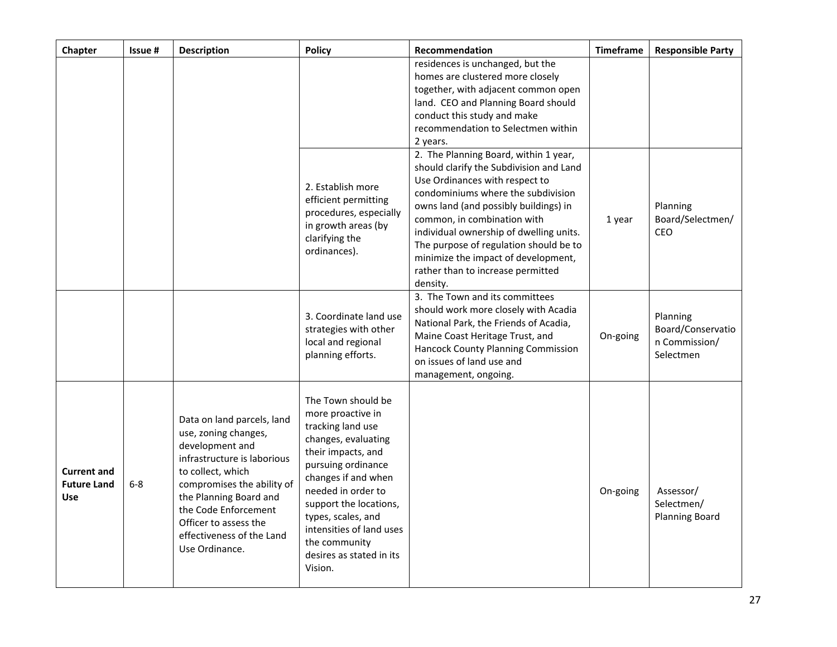| Chapter                                         | Issue# | <b>Description</b>                                                                                                                                                                                                                                                                | <b>Policy</b>                                                                                                                                                                                                                                                                                                    | Recommendation                                                                                                                                                                                                                                                                                                                                                                                                | <b>Timeframe</b> | <b>Responsible Party</b>                                    |
|-------------------------------------------------|--------|-----------------------------------------------------------------------------------------------------------------------------------------------------------------------------------------------------------------------------------------------------------------------------------|------------------------------------------------------------------------------------------------------------------------------------------------------------------------------------------------------------------------------------------------------------------------------------------------------------------|---------------------------------------------------------------------------------------------------------------------------------------------------------------------------------------------------------------------------------------------------------------------------------------------------------------------------------------------------------------------------------------------------------------|------------------|-------------------------------------------------------------|
|                                                 |        |                                                                                                                                                                                                                                                                                   |                                                                                                                                                                                                                                                                                                                  | residences is unchanged, but the<br>homes are clustered more closely<br>together, with adjacent common open<br>land. CEO and Planning Board should<br>conduct this study and make<br>recommendation to Selectmen within<br>2 years.                                                                                                                                                                           |                  |                                                             |
|                                                 |        |                                                                                                                                                                                                                                                                                   | 2. Establish more<br>efficient permitting<br>procedures, especially<br>in growth areas (by<br>clarifying the<br>ordinances).                                                                                                                                                                                     | 2. The Planning Board, within 1 year,<br>should clarify the Subdivision and Land<br>Use Ordinances with respect to<br>condominiums where the subdivision<br>owns land (and possibly buildings) in<br>common, in combination with<br>individual ownership of dwelling units.<br>The purpose of regulation should be to<br>minimize the impact of development,<br>rather than to increase permitted<br>density. | 1 year           | Planning<br>Board/Selectmen/<br>CEO                         |
|                                                 |        |                                                                                                                                                                                                                                                                                   | 3. Coordinate land use<br>strategies with other<br>local and regional<br>planning efforts.                                                                                                                                                                                                                       | 3. The Town and its committees<br>should work more closely with Acadia<br>National Park, the Friends of Acadia,<br>Maine Coast Heritage Trust, and<br><b>Hancock County Planning Commission</b><br>on issues of land use and<br>management, ongoing.                                                                                                                                                          | On-going         | Planning<br>Board/Conservatio<br>n Commission/<br>Selectmen |
| <b>Current and</b><br><b>Future Land</b><br>Use | $6-8$  | Data on land parcels, land<br>use, zoning changes,<br>development and<br>infrastructure is laborious<br>to collect, which<br>compromises the ability of<br>the Planning Board and<br>the Code Enforcement<br>Officer to assess the<br>effectiveness of the Land<br>Use Ordinance. | The Town should be<br>more proactive in<br>tracking land use<br>changes, evaluating<br>their impacts, and<br>pursuing ordinance<br>changes if and when<br>needed in order to<br>support the locations,<br>types, scales, and<br>intensities of land uses<br>the community<br>desires as stated in its<br>Vision. |                                                                                                                                                                                                                                                                                                                                                                                                               | On-going         | Assessor/<br>Selectmen/<br><b>Planning Board</b>            |